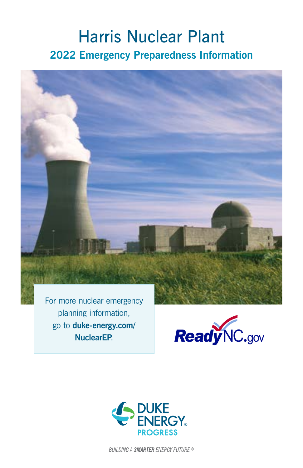# Harris Nuclear Plant **2022 Emergency Preparedness Information**



planning information, go to **[duke-energy.com/](http://duke-energy.com/NuclearEP) [NuclearEP](http://duke-energy.com/NuclearEP)**.





**BUILDING A SMARTER ENERGY FUTURE ®**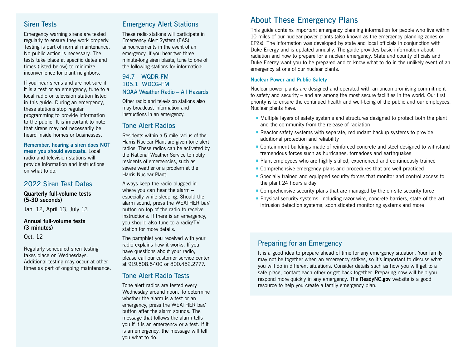## Siren Tests

Emergency warning sirens are tested regularly to ensure they work properly. Testing is part of normal maintenance. No public action is necessary. The tests take place at specific dates and times (listed below) to minimize inconvenience for plant neighbors.

If you hear sirens and are not sure if it is a test or an emergency, tune to a local radio or television station listed in this guide. During an emergency, these stations stop regular programming to provide information to the public. It is important to note that sirens may not necessarily be heard inside homes or businesses.

**Remember, hearing a siren does NOT mean you should evacuate.** Local radio and television stations will provide information and instructions on what to do.

### 2022 Siren Test Dates

### **Quarterly full-volume tests (5-30 seconds)**

Jan. 12, April 13, July 13

### **Annual full-volume tests (3 minutes)**

Oct. 12

Regularly scheduled siren testing takes place on Wednesdays. Additional testing may occur at other times as part of ongoing maintenance.

## Emergency Alert Stations

These radio stations will participate in Emergency Alert System (EAS) announcements in the event of an emergency. If you hear two threeminute-long siren blasts, tune to one of the following stations for information:

### 94.7 WQDR-FM 105.1 WDCG-FM NOAA Weather Radio – All Hazards

Other radio and television stations also may broadcast information and instructions in an emergency.

### Tone Alert Radios

Residents within a 5-mile radius of the Harris Nuclear Plant are given tone alert radios. These radios can be activated by the National Weather Service to notify residents of emergencies, such as severe weather or a problem at the Harris Nuclear Plant.

Always keep the radio plugged in where you can hear the alarm – especially while sleeping. Should the alarm sound, press the WEATHER bar/ button on top of the radio to receive instructions. If there is an emergency, you should also tune to a radio/TV station for more details.

The pamphlet you received with your radio explains how it works. If you have questions about your radio, please call our customer service center at 919.508.5400 or 800.452.2777.

## Tone Alert Radio Tests

Tone alert radios are tested every Wednesday around noon. To determine whether the alarm is a test or an emergency, press the WEATHER bar/ button after the alarm sounds. The message that follows the alarm tells you if it is an emergency or a test. If it is an emergency, the message will tell you what to do.

## About These Emergency Plans

This guide contains important emergency planning information for people who live within 10 miles of our nuclear power plants (also known as the emergency planning zones or EPZs). The information was developed by state and local officials in conjunction with Duke Energy and is updated annually. The guide provides basic information about radiation and how to prepare for a nuclear emergency. State and county officials and Duke Energy want you to be prepared and to know what to do in the unlikely event of an emergency at one of our nuclear plants.

### **Nuclear Power and Public Safety**

Nuclear power plants are designed and operated with an uncompromising commitment to safety and security – and are among the most secure facilities in the world. Our first priority is to ensure the continued health and well-being of the public and our employees. Nuclear plants have:

- ¡ Multiple layers of safety systems and structures designed to protect both the plant and the community from the release of radiation
- ¡ Reactor safety systems with separate, redundant backup systems to provide additional protection and reliability
- ¡ Containment buildings made of reinforced concrete and steel designed to withstand tremendous forces such as hurricanes, tornadoes and earthquakes
- **Plant employees who are highly skilled, experienced and continuously trained**
- ¡ Comprehensive emergency plans and procedures that are well-practiced
- ¡ Specially trained and equipped security forces that monitor and control access to the plant 24 hours a day
- Comprehensive security plans that are managed by the on-site security force
- ¡ Physical security systems, including razor wire, concrete barriers, state-of-the-art intrusion detection systems, sophisticated monitoring systems and more

## Preparing for an Emergency

It is a good idea to prepare ahead of time for any emergency situation. Your family may not be together when an emergency strikes, so it's important to discuss what you will do in different situations. Consider details such as how you will get to a safe place, contact each other or get back together. Preparing now will help you respond more quickly in any emergency. The **[ReadyNC.gov](http://ReadyNC.org)** website is a good resource to help you create a family emergency plan.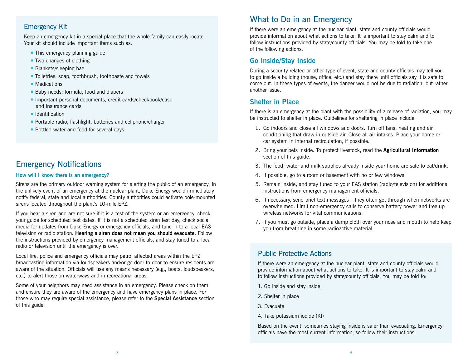### Emergency Kit

Keep an emergency kit in a special place that the whole family can easily locate. Your kit should include important items such as:

- This emergency planning guide
- Two changes of clothing
- Blankets/sleeping bag
- Toiletries: soap, toothbrush, toothpaste and towels
- Medications
- Baby needs: formula, food and diapers
- Important personal documents, credit cards/checkbook/cash and insurance cards
- **E** Identification
- **Portable radio, flashlight, batteries and cellphone/charger**
- Bottled water and food for several days

## Emergency Notifications

#### **How will I know there is an emergency?**

Sirens are the primary outdoor warning system for alerting the public of an emergency. In the unlikely event of an emergency at the nuclear plant, Duke Energy would immediately notify federal, state and local authorities. County authorities could activate pole-mounted sirens located throughout the plant's 10-mile EPZ.

If you hear a siren and are not sure if it is a test of the system or an emergency, check your guide for scheduled test dates. If it is not a scheduled siren test day, check social media for updates from Duke Energy or emergency officials, and tune in to a local EAS television or radio station. **Hearing a siren does not mean you should evacuate.** Follow the instructions provided by emergency management officials, and stay tuned to a local radio or television until the emergency is over.

Local fire, police and emergency officials may patrol affected areas within the EPZ broadcasting information via loudspeakers and/or go door to door to ensure residents are aware of the situation. Officials will use any means necessary (e.g., boats, loudspeakers, etc.) to alert those on waterways and in recreational areas.

Some of your neighbors may need assistance in an emergency. Please check on them and ensure they are aware of the emergency and have emergency plans in place. For those who may require special assistance, please refer to the **Special Assistance** section of this guide.

## What to Do in an Emergency

If there were an emergency at the nuclear plant, state and county officials would provide information about what actions to take. It is important to stay calm and to follow instructions provided by state/county officials. You may be told to take one of the following actions.

### **Go Inside/Stay Inside**

During a security-related or other type of event, state and county officials may tell you to go inside a building (house, office, etc.) and stay there until officials say it is safe to come out. In these types of events, the danger would not be due to radiation, but rather another issue.

### **Shelter in Place**

If there is an emergency at the plant with the possibility of a release of radiation, you may be instructed to shelter in place. Guidelines for sheltering in place include:

- 1. Go indoors and close all windows and doors. Turn off fans, heating and air conditioning that draw in outside air. Close all air intakes. Place your home or car system in internal recirculation, if possible.
- 2. Bring your pets inside. To protect livestock, read the **Agricultural Information** section of this guide.
- 3. The food, water and milk supplies already inside your home are safe to eat/drink.
- 4. If possible, go to a room or basement with no or few windows.
- 5. Remain inside, and stay tuned to your EAS station (radio/television) for additional instructions from emergency management officials.
- 6. If necessary, send brief text messages they often get through when networks are overwhelmed. Limit non-emergency calls to conserve battery power and free up wireless networks for vital communications.
- 7. If you must go outside, place a damp cloth over your nose and mouth to help keep you from breathing in some radioactive material.

### Public Protective Actions

If there were an emergency at the nuclear plant, state and county officials would provide information about what actions to take. It is important to stay calm and to follow instructions provided by state/county officials. You may be told to:

- 1. Go inside and stay inside
- 2. Shelter in place
- 3. Evacuate
- 4. Take potassium iodide (KI)

Based on the event, sometimes staying inside is safer than evacuating. Emergency officials have the most current information, so follow their instructions.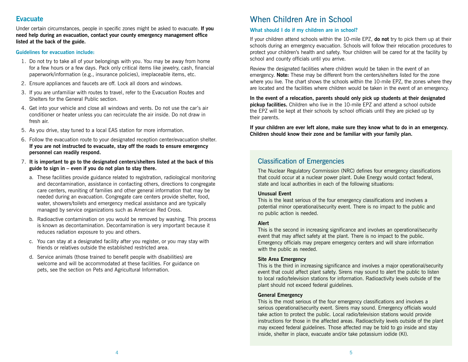### **Evacuate**

Under certain circumstances, people in specific zones might be asked to evacuate. **If you need help during an evacuation, contact your county emergency management office listed at the back of the guide.** 

#### **Guidelines for evacuation include:**

- 1. Do not try to take all of your belongings with you. You may be away from home for a few hours or a few days. Pack only critical items like jewelry, cash, financial paperwork/information (e.g., insurance policies), irreplaceable items, etc.
- 2. Ensure appliances and faucets are off. Lock all doors and windows.
- 3. If you are unfamiliar with routes to travel, refer to the Evacuation Routes and Shelters for the General Public section.
- 4. Get into your vehicle and close all windows and vents. Do not use the car's air conditioner or heater unless you can recirculate the air inside. Do not draw in fresh air.
- 5. As you drive, stay tuned to a local EAS station for more information.
- 6. Follow the evacuation route to your designated reception center/evacuation shelter. **If you are not instructed to evacuate, stay off the roads to ensure emergency personnel can readily respond.**
- 7. **It is important to go to the designated centers/shelters listed at the back of this guide to sign in – even if you do not plan to stay there.**
	- a. These facilities provide guidance related to registration, radiological monitoring and decontamination, assistance in contacting others, directions to congregate care centers, reuniting of families and other general information that may be needed during an evacuation. Congregate care centers provide shelter, food, water, showers/toilets and emergency medical assistance and are typically managed by service organizations such as American Red Cross.
	- b. Radioactive contamination on you would be removed by washing. This process is known as decontamination. Decontamination is very important because it reduces radiation exposure to you and others.
	- c. You can stay at a designated facility after you register, or you may stay with friends or relatives outside the established restricted area.
	- d. Service animals (those trained to benefit people with disabilities) are welcome and will be accommodated at these facilities. For guidance on pets, see the section on Pets and Agricultural Information.

## When Children Are in School

### **What should I do if my children are in school?**

If your children attend schools within the 10-mile EPZ, **do not** try to pick them up at their schools during an emergency evacuation. Schools will follow their relocation procedures to protect your children's health and safety. Your children will be cared for at the facility by school and county officials until you arrive.

Review the designated facilities where children would be taken in the event of an emergency. **Note:** These may be different from the centers/shelters listed for the zone where you live. The chart shows the schools within the 10-mile EPZ, the zones where they are located and the facilities where children would be taken in the event of an emergency.

**In the event of a relocation, parents should only pick up students at their designated pickup facilities.** Children who live in the 10-mile EPZ and attend a school outside the EPZ will be kept at their schools by school officials until they are picked up by their parents.

**If your children are ever left alone, make sure they know what to do in an emergency. Children should know their zone and be familiar with your family plan.**

### Classification of Emergencies

The Nuclear Regulatory Commission (NRC) defines four emergency classifications that could occur at a nuclear power plant. Duke Energy would contact federal, state and local authorities in each of the following situations:

### **Unusual Event**

This is the least serious of the four emergency classifications and involves a potential minor operational/security event. There is no impact to the public and no public action is needed.

### **Alert**

This is the second in increasing significance and involves an operational/security event that may affect safety at the plant. There is no impact to the public. Emergency officials may prepare emergency centers and will share information with the public as needed.

### **Site Area Emergency**

This is the third in increasing significance and involves a major operational/security event that could affect plant safety. Sirens may sound to alert the public to listen to local radio/television stations for information. Radioactivity levels outside of the plant should not exceed federal guidelines.

### **General Emergency**

This is the most serious of the four emergency classifications and involves a serious operational/security event. Sirens may sound. Emergency officials would take action to protect the public. Local radio/television stations would provide instructions for those in the affected areas. Radioactivity levels outside of the plant may exceed federal guidelines. Those affected may be told to go inside and stay inside, shelter in place, evacuate and/or take potassium iodide (KI).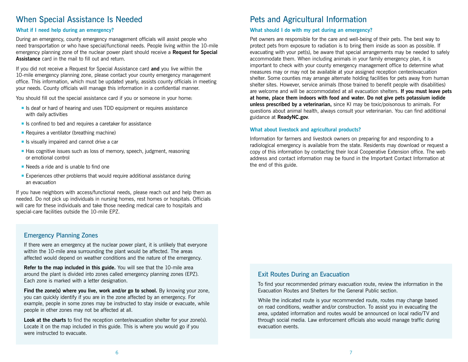## When Special Assistance Is Needed

### **What if I need help during an emergency?**

During an emergency, county emergency management officials will assist people who need transportation or who have special/functional needs. People living within the 10-mile emergency planning zone of the nuclear power plant should receive a **Request for Special Assistance** card in the mail to fill out and return.

If you did not receive a Request for Special Assistance card **and** you live within the 10-mile emergency planning zone, please contact your county emergency management office. This information, which must be updated yearly, assists county officials in meeting your needs. County officials will manage this information in a confidential manner.

You should fill out the special assistance card if you or someone in your home:

- **Example 15 deaf or hard of hearing and uses TDD equipment or requires assistance** with daily activities
- $\blacksquare$  Is confined to bed and requires a caretaker for assistance
- Requires a ventilator (breathing machine)
- **E** Is visually impaired and cannot drive a car
- Has cognitive issues such as loss of memory, speech, judgment, reasoning or emotional control
- Needs a ride and is unable to find one
- Experiences other problems that would require additional assistance during an evacuation

If you have neighbors with access/functional needs, please reach out and help them as needed. Do not pick up individuals in nursing homes, rest homes or hospitals. Officials will care for these individuals and take those needing medical care to hospitals and special-care facilities outside the 10-mile EPZ.

### Emergency Planning Zones

If there were an emergency at the nuclear power plant, it is unlikely that everyone within the 10-mile area surrounding the plant would be affected. The areas affected would depend on weather conditions and the nature of the emergency.

**Refer to the map included in this guide.** You will see that the 10-mile area around the plant is divided into zones called emergency planning zones (EPZ). Each zone is marked with a letter designation.

**Find the zone(s) where you live, work and/or go to school.** By knowing your zone, you can quickly identify if you are in the zone affected by an emergency. For example, people in some zones may be instructed to stay inside or evacuate, while people in other zones may not be affected at all.

Look at the charts to find the reception center/evacuation shelter for your zone(s). Locate it on the map included in this guide. This is where you would go if you were instructed to evacuate.

## Pets and Agricultural Information

### **What should I do with my pet during an emergency?**

Pet owners are responsible for the care and well-being of their pets. The best way to protect pets from exposure to radiation is to bring them inside as soon as possible. If evacuating with your pet(s), be aware that special arrangements may be needed to safely accommodate them. When including animals in your family emergency plan, it is important to check with your county emergency management office to determine what measures may or may not be available at your assigned reception center/evacuation shelter. Some counties may arrange alternate holding facilities for pets away from human shelter sites. However, service animals (those trained to benefit people with disabilities) are welcome and will be accommodated at all evacuation shelters. **If you must leave pets at home, place them indoors with food and water. Do not give pets potassium iodide unless prescribed by a veterinarian,** since KI may be toxic/poisonous to animals. For questions about animal health, always consult your veterinarian. You can find additional guidance at **[ReadyNC.gov](http://ReadyNC.org)**.

### **What about livestock and agricultural products?**

Information for farmers and livestock owners on preparing for and responding to a radiological emergency is available from the state. Residents may download or request a copy of this information by contacting their local Cooperative Extension office. The web address and contact information may be found in the Important Contact Information at the end of this guide.

### Exit Routes During an Evacuation

To find your recommended primary evacuation route, review the information in the Evacuation Routes and Shelters for the General Public section.

While the indicated route is your recommended route, routes may change based on road conditions, weather and/or construction. To assist you in evacuating the area, updated information and routes would be announced on local radio/TV and through social media. Law enforcement officials also would manage traffic during evacuation events.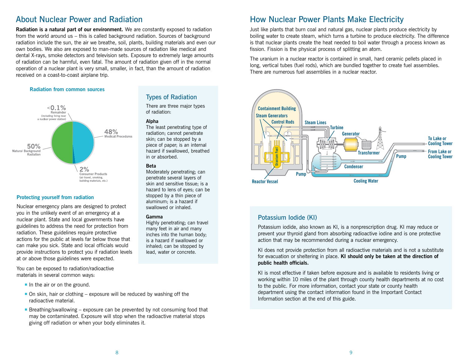## About Nuclear Power and Radiation

**Radiation is a natural part of our environment.** We are constantly exposed to radiation from the world around us – this is called background radiation. Sources of background radiation include the sun, the air we breathe, soil, plants, building materials and even our own bodies. We also are exposed to man-made sources of radiation like medical and dental X-rays, smoke detectors and television sets. Exposure to extremely large amounts of radiation can be harmful, even fatal. The amount of radiation given off in the normal operation of a nuclear plant is very small, smaller, in fact, than the amount of radiation received on a coast-to-coast airplane trip.

#### **Radiation from common sources**



### **Protecting yourself from radiation**

Nuclear emergency plans are designed to protect you in the unlikely event of an emergency at a nuclear plant. State and local governments have guidelines to address the need for protection from radiation. These guidelines require protective actions for the public at levels far below those that can make you sick. State and local officials would provide instructions to protect you if radiation levels at or above those guidelines were expected.

You can be exposed to radiation/radioactive materials in several common ways:

- $\blacksquare$  In the air or on the ground.
- $\blacksquare$  On skin, hair or clothing exposure will be reduced by washing off the radioactive material.
- **Example 1** Breathing/swallowing exposure can be prevented by not consuming food that may be contaminated. Exposure will stop when the radioactive material stops giving off radiation or when your body eliminates it.

### Types of Radiation

There are three major types of radiation:

#### **Alpha**

The least penetrating type of radiation; cannot penetrate skin; can be stopped by a piece of paper; is an internal hazard if swallowed, breathed in or absorbed.

#### **Beta**

Moderately penetrating; can penetrate several layers of skin and sensitive tissue; is a hazard to lens of eyes; can be stopped by a thin piece of aluminum; is a hazard if swallowed or inhaled.

#### **Gamma**

Highly penetrating; can travel many feet in air and many inches into the human body; is a hazard if swallowed or inhaled; can be stopped by lead, water or concrete.

## How Nuclear Power Plants Make Electricity

Just like plants that burn coal and natural gas, nuclear plants produce electricity by boiling water to create steam, which turns a turbine to produce electricity. The difference is that nuclear plants create the heat needed to boil water through a process known as fission. Fission is the physical process of splitting an atom.

The uranium in a nuclear reactor is contained in small, hard ceramic pellets placed in long, vertical tubes (fuel rods), which are bundled together to create fuel assemblies. There are numerous fuel assemblies in a nuclear reactor.



### Potassium Iodide (KI)

Potassium iodide, also known as KI, is a nonprescription drug. KI may reduce or prevent your thyroid gland from absorbing radioactive iodine and is one protective action that may be recommended during a nuclear emergency.

KI does not provide protection from all radioactive materials and is not a substitute for evacuation or sheltering in place. **KI should only be taken at the direction of public health officials.**

KI is most effective if taken before exposure and is available to residents living or working within 10 miles of the plant through county health departments at no cost to the public. For more information, contact your state or county health department using the contact information found in the Important Contact Information section at the end of this guide.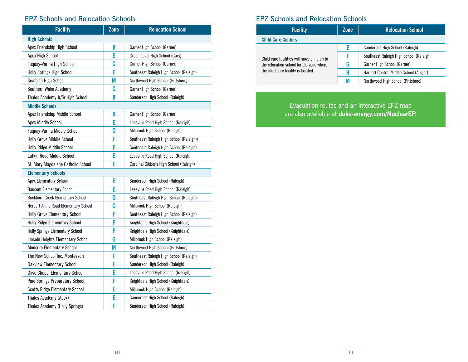## EPZ Schools and Relocation Schools

| <b>Facility</b>                         | $\overline{Z}$ one | <b>Relocation School</b>                 |
|-----------------------------------------|--------------------|------------------------------------------|
| <b>High Schools</b>                     |                    |                                          |
| Apex Friendship High School             | B                  | Garner High School (Garner)              |
| Apex High School                        | E                  | Green Level High School (Cary)           |
| Fuquay-Varina High School               | G                  | Garner High School (Garner)              |
| Holly Springs High School               | F                  | Southeast Raleigh High School (Raleigh)  |
| Seaforth High School                    | M                  | Northwood High School (Pittsboro)        |
| Southern Wake Academy                   | G                  | Garner High School (Garner)              |
| Thales Academy Jr/Sr High School        | B                  | Sanderson High School (Raleigh)          |
| <b>Middle Schools</b>                   |                    |                                          |
| Apex Friendship Middle School           | B                  | Garner High School (Garner)              |
| Apex Middle School                      | E                  | Leesville Road High School (Raleigh)     |
| Fuquay-Varina Middle School             | G                  | Millbrook High School (Raleigh)          |
| Holly Grove Middle School               | F                  | Southeast Raleigh High School (Raleigh)) |
| Holly Ridge Middle School               | F                  | Southeast Raleigh High School (Raleigh)  |
| Lufkin Road Middle School               | E                  | Leesville Road High School (Raleigh)     |
| St. Mary Magdalene Catholic School      | E                  | Cardinal Gibbons High School (Raleigh)   |
| <b>Elementary Schools</b>               |                    |                                          |
| Apex Elementary School                  | E                  | Sanderson High School (Raleigh)          |
| <b>Baucom Elementary School</b>         | E                  | Leesville Road High School (Raleigh)     |
| <b>Buckhorn Creek Elementary School</b> | G                  | Southeast Raleigh High School (Raleigh)  |
| Herbert Akins Road Elementary School    | G                  | Millbrook High School (Raleigh)          |
| <b>Holly Grove Elementary School</b>    | F                  | Southeast Raleigh High School (Raleigh)  |
| Holly Ridge Elementary School           | F                  | Knightdale High School (Knightdale)      |
| <b>Holly Springs Elementary School</b>  | F                  | Knightdale High School (Knightdale)      |
| Lincoln Heights Elementary School       | G                  | Millbrook High School (Raleigh)          |
| <b>Moncure Elementary School</b>        | M                  | Northwood High School (Pittsboro)        |
| The New School Inc. Montessori          | F                  | Southeast Raleigh High School (Raleigh)  |
| <b>Oakview Elementary School</b>        | F                  | Sanderson High School (Raleigh)          |
| <b>Olive Chapel Elementary School</b>   | E                  | Leesville Road High School (Raleigh)     |
| Pine Springs Preparatory School         | F                  | Knightdale High School (Knightdale)      |
| <b>Scotts Ridge Elementary School</b>   | E                  | Millbrook High School (Raleigh)          |
| Thales Academy (Apex)                   | E                  | Sanderson High School (Raleigh)          |
| Thales Academy (Holly Springs)          | F                  | Sanderson High School (Raleigh)          |

## EPZ Schools and Relocation Schools

| <b>Facility</b>                             | Zone | <b>Relocation School</b>                |  |  |  |  |
|---------------------------------------------|------|-----------------------------------------|--|--|--|--|
| <b>Child Care Centers</b>                   |      |                                         |  |  |  |  |
|                                             |      | Sanderson High School (Raleigh)         |  |  |  |  |
| Child care facilities will move children to |      | Southeast Raleigh High School (Raleigh) |  |  |  |  |
| the relocation school for the zone where    | G    | Garner High School (Garner)             |  |  |  |  |
| the child care facility is located.         | H    | Harnett Central Middle School (Angier)  |  |  |  |  |
|                                             |      | Northwood High School (Pittsboro)       |  |  |  |  |

Evacuation routes and an interactive EPZ map are also available at **[duke-energy.com/NuclearEP](http://duke-energy.com/NuclearEP)**.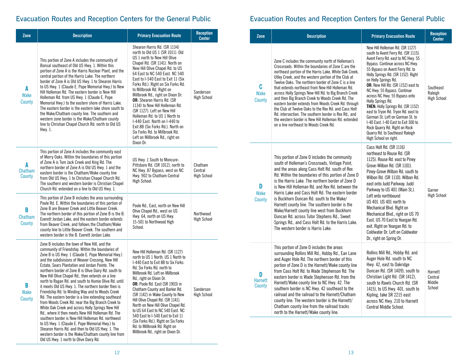| Zone                       | <b>Description</b>                                                                                                                                                                                                                                                                                                                                                                                                                                                                                                                                                                                                                                                                                                                                                                                                                                                                                                                                                                                                                       | <b>Primary Evacuation Route</b>                                                                                                                                                                                                                                                                                                                                                                                                                                                                                                                                                                                                                      | <b>Reception</b><br><b>Center</b>        |
|----------------------------|------------------------------------------------------------------------------------------------------------------------------------------------------------------------------------------------------------------------------------------------------------------------------------------------------------------------------------------------------------------------------------------------------------------------------------------------------------------------------------------------------------------------------------------------------------------------------------------------------------------------------------------------------------------------------------------------------------------------------------------------------------------------------------------------------------------------------------------------------------------------------------------------------------------------------------------------------------------------------------------------------------------------------------------|------------------------------------------------------------------------------------------------------------------------------------------------------------------------------------------------------------------------------------------------------------------------------------------------------------------------------------------------------------------------------------------------------------------------------------------------------------------------------------------------------------------------------------------------------------------------------------------------------------------------------------------------------|------------------------------------------|
| A<br><b>Wake</b><br>County | This portion of Zone A includes the community of<br>Bonsal southeast of Old US Hwy. 1. Within this<br>portion of Zone A is the Harris Nuclear Plant, and the<br>central portion of the Harris Lake. The northern<br>border of Zone A is Old US Hwy. 1 to Shearon Harris<br>to US Hwy. 1 (Claude E. Pope Memorial Hwy.) to New<br>Hill Holleman Rd. The eastern border is New Hill<br>Holleman Rd. from US Hwy. 1 (Claude E. Pope<br>Memorial Hwy.) to the eastern shore of Harris Lake.<br>The eastern border is the eastern lake shore south to<br>the Wake/Chatham county line. The southern and<br>western zone border is the Wake/Chatham county<br>line to Christian Chapel Church Rd. north to Old US<br>Hwy. 1.                                                                                                                                                                                                                                                                                                                   | Shearon Harris Rd. (SR 1134)<br>north to Old US 1 (SR 1011). Old<br>US 1 north to New Hill Olive<br>Chapel Rd. (SR 1141). North on<br>New Hill Olive Chapel Rd. to US<br>64 East to NC 540 East. NC 540<br>East to I-540 East to Exit 11 (Six<br>Forks Rd.). Right on Six Forks Rd.<br>to Millbrook Rd. Right on<br>Millbrook Rd., right on Dixon Dr.<br><b>OR:</b> Shearon Harris Rd. (SR<br>1134) to New Hill Holleman Rd.<br>(SR 1127). Left on New Hill<br>Holleman Rd. to US 1 North to<br>I-440 East. North on I-440 to<br>Exit 8B (Six Forks Rd.). North on<br>Six Forks Rd. to Millbrook Rd.<br>Left on Millbrook Rd., right on<br>Dixon Dr. | Sanderson<br><b>High School</b>          |
| A<br>Chatham<br>County     | This portion of Zone A includes the community east<br>of Merry Oaks. Within the boundaries of this portion<br>of Zone A is Tom Jack Creek and King Rd. The<br>northern border of Zone A is Old US Hwy. 1 and the<br>eastern border is the Chatham/Wake county line<br>from Old US Hwy. 1 to Christian Chapel Church Rd.<br>The southern and western border is Christian Chapel<br>Church Rd. extended on a line to Old US Hwy. 1.                                                                                                                                                                                                                                                                                                                                                                                                                                                                                                                                                                                                        | US Hwy. 1 South to Moncure-<br>Pittsboro Rd. (SR 1012), north to<br>NC Hwy. 87 Bypass, west on NC<br>Hwy. 902 to Chatham Central<br>High School.                                                                                                                                                                                                                                                                                                                                                                                                                                                                                                     | Chatham<br>Central<br><b>High School</b> |
| B<br>Chatham<br>County     | This portion of Zone B includes the area surrounding<br>Poole Rd. E. Within the boundaries of this portion of<br>Zone B are Beaver Creek and Little Beaver Creek.<br>The northern border of this portion of Zone B is the B.<br>Everett Jordan Lake, and the eastern border extends<br>from Beaver Creek, and follows the Chatham/Wake<br>county line to Little Beaver Creek. The southern and<br>western border is the B. Everett Jordan Lake.                                                                                                                                                                                                                                                                                                                                                                                                                                                                                                                                                                                          | Poole Rd., East, north on New Hill<br>Olive Chapel Rd., west on US<br>Hwy. 64, north on US Hwy.<br>15-501 to Northwood High<br>School.                                                                                                                                                                                                                                                                                                                                                                                                                                                                                                               | Northwood<br><b>High School</b>          |
| B<br><b>Wake</b><br>County | Zone B includes the town of New Hill, and the<br>community of Friendship. Within the boundaries of<br>Zone B is US Hwy. 1 (Claude E. Pope Memorial Hwy.)<br>and the subdivisions of Weaver Crossing, New Hill<br>Estate, Sears Plantation and Jordan Pointe. The<br>northern border of Zone B is Olive Dairy Rd. south to<br>New Hill Olive Chapel Rd., then extends on a line<br>north to Ragan Rd. and south to Humie Olive Rd. until<br>it meets Old US Hwy. 1. The northern border then is<br>Friendship Rd. to Winding Way and to Woods Creek<br>Rd. The eastern border is a line extending southeast<br>from Woods Creek Rd. near the Big Branch Creek to<br>White Oak Creek and across Holly Springs New Hill<br>Rd., where it then meets New Hill Holleman Rd. The<br>southern border is New Hill Holleman Rd. northwest<br>to US Hwy. 1 (Claude E. Pope Memorial Hwy.) to<br>Shearon Harris Rd. and then to Old US Hwy. 1. The<br>western border is the Wake/Chatham county line from<br>Old US Hwy. 1 north to Olive Dairy Rd. | New Hill Holleman Rd. (SR 1127)<br>north to US 1 North. US 1 North to<br>I-440 East to Exit 8B to Six Forks<br>Rd. Six Forks Rd. north to<br>Millbrook Rd. Left on Millbrook<br>Rd., right on Dixon Dr.<br>OR: Poole Rd. East (SR 1903) in<br>Chatham County and Barker Rd.<br>(SR 1142) in Wake County to New<br>Hill Olive Chapel Rd. (SR 1141).<br>North on New Hill Olive Chapel Rd.<br>to US 64 East to NC 540 East. NC<br>540 East to I-540 East to Exit 11<br>(Six Forks Rd.). Right on Six Forks<br>Rd. to Millbrook Rd. Right on<br>Millbrook Rd., right on Dixon Dr.                                                                       | Sanderson<br><b>High School</b>          |

## Evacuation Routes and Reception Centers for the General Public Evacuation Routes and Reception Centers for the General Public

| Zone                          | <b>Description</b>                                                                                                                                                                                                                                                                                                                                                                                                                                                                                                                                                                                                                                                                                                            | <b>Primary Evacuation Route</b>                                                                                                                                                                                                                                                                                                                                                                                                                                                                                                                                                                                                        | <b>Reception</b><br><b>Center</b>          |
|-------------------------------|-------------------------------------------------------------------------------------------------------------------------------------------------------------------------------------------------------------------------------------------------------------------------------------------------------------------------------------------------------------------------------------------------------------------------------------------------------------------------------------------------------------------------------------------------------------------------------------------------------------------------------------------------------------------------------------------------------------------------------|----------------------------------------------------------------------------------------------------------------------------------------------------------------------------------------------------------------------------------------------------------------------------------------------------------------------------------------------------------------------------------------------------------------------------------------------------------------------------------------------------------------------------------------------------------------------------------------------------------------------------------------|--------------------------------------------|
| C<br>Wake<br>County           | Zone C includes the community north of Holleman's<br>Crossroads. Within the boundaries of Zone C are the<br>northeast portion of the Harris Lake, White Oak Creek,<br>Utley Creek, and the western portion of the Club at<br>Twelve Oaks. The northern border of Zone C is a line<br>that extends northeast from New Hill Holleman Rd.<br>across Holly Springs New Hill Rd. to Big Branch Creek<br>and then Big Branch Creek to Woods Creek Rd. The<br>eastern border extends from Woods Creek Rd. through<br>the Club at Twelve Oaks to the Rex Rd. and Cass Holt<br>Rd. intersection. The southern border is Rex Rd., and<br>the western border is New Hill Holleman Rd. extended<br>on a line northeast to Woods Creek Rd. | New Hill Holleman Rd. (SR 1127)<br>south to Avent Ferry Rd. (SR 1115).<br>Avent Ferry Rd. east to NC Hwy. 55<br>Bypass. Continue across NC Hwy.<br>55 Bypass on Avent Ferry Rd. to<br>Holly Springs Rd. (SR 1152). Right<br>on Holly Springs Rd.<br>OR: New Hill Rd. (SR 1152) east to<br>NC Hwy. 55 Bypass. Continue<br>across NC Hwy. 55 Bypass onto<br>Holly Springs Rd.<br><b>THEN: Holly Springs Rd. (SR 1152)</b><br>east to Tryon Rd. Tryon Rd. east to<br>Gorman St. Left on Gorman St. to<br>I-40 East. I-40 East to Exit 300 to<br>Rock Quarry Rd. Right on Rock<br>Quarry Rd. to Southeast Raleigh<br>High School on right. | Southeast<br>Raleigh<br><b>High School</b> |
| D<br>Wake<br>County           | This portion of Zone D includes the community<br>south of Holleman's Crossroads, Vintage Point,<br>and the areas along Cass Holt Rd. south of Rex<br>Rd. Within the boundaries of this portion of Zone D<br>is the Harris Lake. The northern border of Zone D<br>is New Hill Holleman Rd. and Rex Rd. between the<br>Harris Lake and Cass Holt Rd. The eastern border<br>is Buckhorn Duncan Rd. south to the Wake/<br>Harnett county line. The southern border is the<br>Wake/Harnett county line west from Buckhorn<br>Duncan Rd. across Tutor Stephens Rd., Sweet<br>Springs Rd., and Cass Holt Rd. to the Harris Lake.<br>The western border is Harris Lake.                                                               | Cass Holt Rd. (SR 1116)<br>northeast to Rouse Rd. (SR<br>1125). Rouse Rd. east to Piney<br>Grove-Wilbon Rd. (SR 1101).<br>Piney-Grove Wilbon Rd. south to<br>Wilbon Rd. (SR 1110). Wilbon Rd.<br>east onto Judd Parkway. Judd<br>Parkway to US 401 (Main St.).<br>Left onto northbound<br>US 401, US 401 north to<br>Mechanical Blvd. Right on<br>Mechanical Blvd., right on US 70<br>East. US 70 East to Yeargan Rd.<br>exit. Right on Yeargan Rd. to<br>Coldwater Dr. Left on Coldwater<br>Dr., right on Spring Dr.                                                                                                                  | Garner<br><b>High School</b>               |
| D<br><b>Harnett</b><br>County | This portion of Zone D includes the areas<br>surrounding Rollins Mill Rd., Hobby Rd., Ean Lane<br>and Auger Hole Rd. The northern border of this<br>portion of Zone D is the Harnett/Wake county line<br>from Cass Holt Rd. to Wade Stephenson Rd. The<br>eastern border is Wade Stephenson Rd. from the<br>Harnett/Wake county line to NC Hwy. 42. The<br>southern border is NC Hwy. 42 southeast to the<br>railroad and the railroad to the Harnett/Chatham<br>county line. The western border is the Harnett/<br>Chatham county line from the railroad tracks<br>north to the Harnett/Wake county line.                                                                                                                    | Rollins Mill Rd., Hobby Rd. and<br>Auger Hole Rd. south to NC<br>Hwy. 42, east to Oakridge<br>Duncan Rd. (SR 1409), south to<br>Christian Light Rd. (SR 1412).<br>south to Rawls Church Rd. (SR<br>1415), to US Hwy. 401, south to<br>Kipling, take SR 2215 east<br>across NC Hwy. 210 to Harnett<br>Central Middle School.                                                                                                                                                                                                                                                                                                            | Harnett<br>Central<br>Middle<br>School     |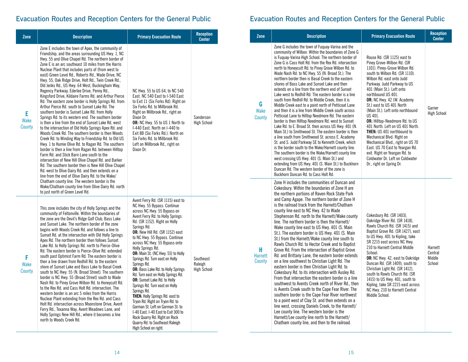## Evacuation Routes and Reception Centers for the General Public

| Zone                       | <b>Description</b>                                                                                                                                                                                                                                                                                                                                                                                                                                                                                                                                                                                                                                                                                                                                                                                                                                                                                                                                                                                                                                                                                                                                                                                                                                                                                                                                                                                                                            | <b>Primary Evacuation Route</b>                                                                                                                                                                                                                                                                                                                                                                                                                                                                                                                                                                                                                                                                                                                                                                                                | <b>Reception</b><br><b>Center</b>          | Zone                          |  |
|----------------------------|-----------------------------------------------------------------------------------------------------------------------------------------------------------------------------------------------------------------------------------------------------------------------------------------------------------------------------------------------------------------------------------------------------------------------------------------------------------------------------------------------------------------------------------------------------------------------------------------------------------------------------------------------------------------------------------------------------------------------------------------------------------------------------------------------------------------------------------------------------------------------------------------------------------------------------------------------------------------------------------------------------------------------------------------------------------------------------------------------------------------------------------------------------------------------------------------------------------------------------------------------------------------------------------------------------------------------------------------------------------------------------------------------------------------------------------------------|--------------------------------------------------------------------------------------------------------------------------------------------------------------------------------------------------------------------------------------------------------------------------------------------------------------------------------------------------------------------------------------------------------------------------------------------------------------------------------------------------------------------------------------------------------------------------------------------------------------------------------------------------------------------------------------------------------------------------------------------------------------------------------------------------------------------------------|--------------------------------------------|-------------------------------|--|
| E<br><b>Wake</b><br>County | Zone E includes the town of Apex, the community of<br>Friendship, and the areas surrounding US Hwy. 1, NC<br>Hwy. 55 and Olive Chapel Rd. The northern border of<br>Zone E is an arc southeast 10 miles from the Harris<br>Nuclear Plant that includes parts of (from west to<br>east) Green Level Rd., Roberts Rd., Wade Drive, NC<br>Hwy. 55, Oak Ridge Drive, Holt Rd., Twin Creek Rd.,<br>Old Jenks Rd., US Hwy. 64 West, Buckingham Way,<br>Regency Parkway, Ederlee Drive, Penny Rd.,<br>Kingsford Drive, Kildaire Farms Rd. and Arthur Pierce<br>Rd. The eastern zone border is Holly Springs Rd. from<br>Arthur Pierce Rd. south to Sunset Lake Rd. The<br>southern border is Sunset Lake Rd. from Holly<br>Springs Rd. to its western end. The southern border<br>is then a line from the end of Sunset Lake Rd. west<br>to the intersection of Old Holly Springs Apex Rd. and<br>Woods Creek Rd. The southern border is then Woods<br>Creek Rd. to Winding Way to Friendship Rd. to Old US<br>Hwy. 1 to Humie Olive Rd. to Ragan Rd. The southern<br>border is then a line from Ragan Rd. between Hilltop<br>Farm Rd. and Stick Barn Lane south to the<br>intersection of New Hill Olive Chapel Rd. and Barker<br>Rd. The southern border then is New Hill Olive Chapel<br>Rd. west to Olive Dairy Rd. and then extends on a<br>line from the end of Olive Dairy Rd. to the Wake/<br>Chatham county line. The western border is the | NC Hwy. 55 to US 64, to NC 540<br>East. NC 540 East to I-540 East<br>to Exit 11 (Six Forks Rd). Right on<br>Six Forks Rd. to Millbrook Rd.<br>Right on Millbrook Rd., right on<br>Dixon Dr.<br>OR: NC Hwy. 55 to US 1 North to<br>I-440 East. North on I-440 to<br>Exit 8B (Six Forks Rd.). North on<br>Six Forks Rd. to Millbrook Rd.<br>Left on Millbrook Rd., right on<br>Dixon Dr.                                                                                                                                                                                                                                                                                                                                                                                                                                         | Sanderson<br><b>High School</b>            | G<br><b>Wake</b><br>County    |  |
| F<br>Wake<br>County        | Wake/Chatham county line from Olive Dairy Rd. north<br>to just north of Green Level Rd.<br>This zone includes the city of Holly Springs and the<br>community of Feltonville. Within the boundaries of<br>the zone are the Devil's Ridge Golf Club, Bass Lake<br>and Sunset Lake. The northern border of the zone<br>begins with Woods Creek Rd. and follows a line to<br>Sunset Rd. at the intersection with Old Holly Springs<br>Apex Rd. The northern border then follows Sunset<br>Lake Rd. to Holly Springs Rd. north to Pierce-Olive<br>Rd. The eastern border is Pierce-Olive Rd. extended<br>south past Optimist Farm Rd. The eastern border is<br>then a line drawn from Redhill Rd, to the eastern<br>shore of Sunset Lake and Bass Lake to Basal Creek<br>south to NC Hwy. 55 (N. Broad Street). The southern<br>border is NC Hwy. 55 (Broad Street) south to Wade<br>Nash Rd. to Piney Grove Wilbon Rd. to Honeycutt Rd.<br>to the Rex Rd. and Cass Holt Rd. intersection. The<br>western border is an arc 5 miles from the Harris<br>Nuclear Plant extending from the Rex Rd. and Cass<br>Holt Rd. intersection across Moonstone Drive, Avent<br>Ferry Rd., Texanna Way, Avent Meadows Lane, and<br>Holly Springs New Hill Rd., where it becomes a line<br>north to Woods Creek Rd.                                                                                                                                               | Avent Ferry Rd. (SR 1115) east to<br>NC Hwy. 55 Bypass. Continue<br>across NC Hwy. 55 Bypass on<br>Avent Ferry Rd. to Holly Springs<br>Rd. (SR 1152). Right on Holly<br>Springs Rd.<br>OR: New Hill Rd. (SR 1152) east<br>to NC Hwy. 55 Bypass. Continue<br>across NC Hwy. 55 Bypass onto<br>Holly Springs Rd.<br>OR: Main St. (NC Hwy. 55) to Holly<br>Springs Rd. Turn east on Holly<br>Springs Rd.<br><b>OR:</b> Bass Lake Rd. to Holly Springs<br>Rd. Turn east on Holly Springs Rd.<br>OR: Sunset Lake Rd. to Holly<br>Springs Rd. Turn east on Holly<br>Springs Rd.<br><b>THEN:</b> Holly Springs Rd. east to<br>Tryon Rd. Right on Tryon Rd. to<br>Gorman St. Left on Gorman St. to<br>I-40 East. I-40 East to Exit 300 to<br>Rock Quarry Rd. Right on Rock<br>Quarry Rd. to Southeast Raleigh<br>High School on right. | Southeast<br>Raleigh<br><b>High School</b> | н<br><b>Harnett</b><br>County |  |

## Evacuation Routes and Reception Centers for the General Public

| Zone                          | <b>Description</b>                                                                                                                                                                                                                                                                                                                                                                                                                                                                                                                                                                                                                                                                                                                                                                                                                                                                                                                                                                                                                                                                                                                                                                                                                                                                                                                                                                   | <b>Primary Evacuation Route</b>                                                                                                                                                                                                                                                                                                                                                                                                                                                                                                                                                                                                                                      | <b>Reception</b><br><b>Center</b>      |
|-------------------------------|--------------------------------------------------------------------------------------------------------------------------------------------------------------------------------------------------------------------------------------------------------------------------------------------------------------------------------------------------------------------------------------------------------------------------------------------------------------------------------------------------------------------------------------------------------------------------------------------------------------------------------------------------------------------------------------------------------------------------------------------------------------------------------------------------------------------------------------------------------------------------------------------------------------------------------------------------------------------------------------------------------------------------------------------------------------------------------------------------------------------------------------------------------------------------------------------------------------------------------------------------------------------------------------------------------------------------------------------------------------------------------------|----------------------------------------------------------------------------------------------------------------------------------------------------------------------------------------------------------------------------------------------------------------------------------------------------------------------------------------------------------------------------------------------------------------------------------------------------------------------------------------------------------------------------------------------------------------------------------------------------------------------------------------------------------------------|----------------------------------------|
| G<br>Wake<br>County           | Zone G includes the town of Fuguay-Varina and the<br>community of Wilbon. Within the boundaries of Zone G<br>is Fuguay-Varina High School. The northern border of<br>Zone G is Cass Holt Rd, from the Rex Rd, intersection<br>north to Honeycutt Rd. to Piney Grove Wilbon Rd. to<br>Wade Nash Rd. to NC Hwy. 55 (N. Broad St.). The<br>northern border then is Basal Creek to the eastern<br>shores of Bass Lake and Sunset Lake and then<br>extends on a line from the northern end of Sunset<br>Lake west to Redhill Rd. The eastern border is a line<br>south from Redhill Rd. to Middle Creek, then it is<br>Middle Creek east to a point north of Petticoat Lane<br>and then it is a line from Middle Creek south across<br>Petticoat Lane to Hilltop Needmore Rd. The eastern<br>border is then Hilltop Needmore Rd. west to Sunset<br>Lake Rd. to E. Broad St. then across US Hwy. 401 (N.<br>Main St.) to Smithwood St. The eastern border is then<br>a line south from Smithwood St. across E. Academy<br>St. and S. Judd Parkway SE to Kenneth Creek, which<br>is the border south to the Wake/Harnett county line.<br>The southern border is the Wake/Harnett county line<br>west crossing US Hwy. 401 (S. Main St.) and<br>extending from US Hwy. 401 (S. Main St.) to Buckhorn<br>Duncan Rd. The western border of the zone is<br>Buckhorn Duncan Rd. to Cass Holt Rd. | Rouse Rd. (SR 1125) east to<br>Piney Grove-Wilbon Rd. (SR<br>1101). Piney-Grove Wilbon Rd.<br>south to Wilbon Rd. (SR 1110).<br>Wilbon Rd. east onto Judd<br>Parkway. Judd Parkway to US<br>401 (Main St.). Left onto<br>northbound US 401.<br>OR: NC Hwy. 42 (W. Academy<br>St.) east to US 401 North<br>(Main St.). Left onto northbound<br>US 401.<br>OR: Hilltop-Needmore Rd. to US<br>401 North. Left on US 401 North.<br><b>THEN: US 401 northbound to</b><br>Mechanical Blvd. Right on<br>Mechanical Blvd., right on US 70<br>East. US 70 East to Yeargan Rd.<br>exit. Right on Yeargan Rd. to<br>Coldwater Dr. Left on Coldwater<br>Dr., right on Spring Dr. | Garner<br><b>High School</b>           |
| н<br><b>Harnett</b><br>County | Zone H includes the communities of Duncan and<br>Cokesbury. Within the boundaries of Zone H are<br>the northern portions of Raven Rock State Park<br>and Camp Agape. The northern border of Zone H<br>is the railroad track from the Harnett/Chatham<br>county line east to NC Hwy. 42 to Wade<br>Stephenson Rd. north to the Harnett/Wake county<br>line. The northern border is then the Harnett/<br>Wake county line east to US Hwy. 401 (S. Main<br>St.). The eastern border is US Hwy. 401 (S. Main<br>St.) from the Harnett/Wake county line south to<br>Rawls Church Rd. to Hector Creek and to Baptist<br>Grove Rd. From the intersection of Baptist Grove<br>Rd. and Brittany Lane, the eastern border extends<br>on a line southwest to Christian Light Rd. The<br>eastern border is then Christian Light Rd. to<br>Cokesbury Rd. to its intersection with Ausley Rd.<br>From that intersection the eastern border is a line<br>southwest to Avents Creek north of River Rd., then<br>is Avents Creek south to the Cape Fear River. The<br>southern border is the Cape Fear River northwest<br>to a point west of Clay St. and then extends on a<br>line west, crossing Daniels Creek, to the Harnett/<br>Lee county line. The western border is the<br>Harnett/Lee county line north to the Harnett/<br>Chatham county line, and then to the railroad.                    | Cokesbury Rd. (SR 1403),<br>Oakridge River Rd. (SR 1418).<br>Rawls Church Rd. (SR 1415) and<br>Baptist Grove Rd. (SR 1427), east<br>to US Hwy. 401 to Kipling, take<br>SR 2215 east across NC Hwy.<br>210 to Harnett Central Middle<br>School.<br>OR: NC Hwy. 42, east to Oakridge<br>Duncan Rd. (SR 1409), south to<br>Christian Light Rd. (SR 1412).<br>south to Rawls Church Rd. (SR<br>1415) to US Hwy. 401, south to<br>Kipling, take SR 2215 east across<br>NC Hwy. 210 to Harnett Central<br>Middle School.                                                                                                                                                   | Harnett<br>Central<br>Middle<br>School |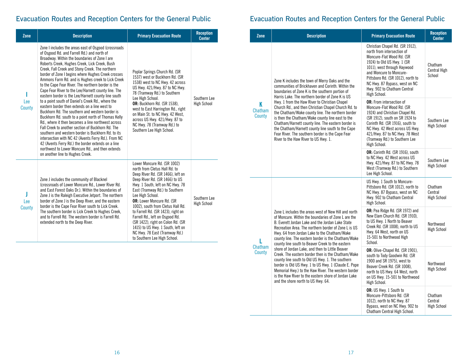## Evacuation Routes and Reception Centers for the General Public

| Zone          | <b>Description</b>                                                                                                                                                                                                                                                                                                                                                                                                                                                                                                                                                                                                                                                                                                                                                                                                                                                                                                                                                                                                                                                                                                            | <b>Primary Evacuation Route</b>                                                                                                                                                                                                                                                                                                                                                                                                                                                                                            | <b>Reception</b><br><b>Center</b>  |
|---------------|-------------------------------------------------------------------------------------------------------------------------------------------------------------------------------------------------------------------------------------------------------------------------------------------------------------------------------------------------------------------------------------------------------------------------------------------------------------------------------------------------------------------------------------------------------------------------------------------------------------------------------------------------------------------------------------------------------------------------------------------------------------------------------------------------------------------------------------------------------------------------------------------------------------------------------------------------------------------------------------------------------------------------------------------------------------------------------------------------------------------------------|----------------------------------------------------------------------------------------------------------------------------------------------------------------------------------------------------------------------------------------------------------------------------------------------------------------------------------------------------------------------------------------------------------------------------------------------------------------------------------------------------------------------------|------------------------------------|
| Lee<br>County | Zone I includes the areas east of Osgood (crossroads<br>of Osgood Rd. and Farrell Rd.) and north of<br>Broadway. Within the boundaries of Zone I are<br>Roberts Creek, Hughes Creek, Lick Creek, Bush<br>Creek, Fall Creek and Stony Creek. The northern<br>border of Zone I begins where Hughes Creek crosses<br>Ammons Farm Rd. and is Hughes creek to Lick Creek<br>to the Cape Fear River. The northern border is the<br>Cape Fear River to the Lee/Harnett county line. The<br>eastern border is the Lee/Harnett county line south<br>to a point south of Daniel's Creek Rd., where the<br>eastern border then extends on a line west to<br>Buckhorn Rd. The southern and western border is<br>Buckhorn Rd. south to a point north of Thomas Kelly<br>Rd., where it then becomes a line northwest across<br>Fall Creek to another section of Buckhorn Rd. The<br>southern and western border is Buckhorn Rd, to its<br>intersection with NC 42 (Avents Ferry Rd.). From NC<br>42 (Avents Ferry Rd.) the border extends on a line<br>northwest to Lower Moncure Rd., and then extends<br>on another line to Hughes Creek. | Poplar Springs Church Rd. (SR<br>1537) west or Buckhorn Rd. (SR<br>1538) west to NC Hwy. 42 across<br>US Hwy. 421/Hwy. 87 to NC Hwy.<br>78 (Tramway Rd.) to Southern<br>Lee High School.<br>OR: Buckhorn Rd. (SR 1538).<br>west to East Harrington Rd., right<br>on Main St. to NC Hwy. 42 West,<br>across US Hwy. 421/Hwy. 87 to<br>NC Hwy. 78 (Tramway Rd.) to<br>Southern Lee High School.                                                                                                                              | Southern Lee<br><b>High School</b> |
| Lee<br>County | Zone J includes the community of Blacknel<br>(crossroads of Lower Moncure Rd., Lower River Rd.)<br>and East Forest Oaks Dr.). Within the boundaries of<br>Zone J is the Raleigh Executive Jetport. The northern<br>border of Zone J is the Deep River, and the eastern<br>border is the Cape Fear River south to Lick Creek.<br>The southern border is Lick Creek to Hughes Creek,<br>and to Farrell Rd. The western border is Farrell Rd.<br>extended north to the Deep River.                                                                                                                                                                                                                                                                                                                                                                                                                                                                                                                                                                                                                                               | Lower Moncure Rd. (SR 1002)<br>north from Cletus Hall Rd. to<br>Deep River Rd. (SR 1466), left on<br>Deep River Rd. (SR 1466) to US<br>Hwy. 1 South, left on NC Hwy. 78<br>East (Tramway Rd.) to Southern<br>Lee High School.<br><b>OR:</b> Lower Moncure Rd. (SR<br>1002), south from Cletus Hall Rd.<br>to Farrell Rd. (SR 1423), right on<br>Farrell Rd., left on Osgood Rd.<br>(SR 1422), right on Colon Rd. (SR<br>1415) to US Hwy. 1 South, left on<br>NC Hwy. 78 East (Tramway Rd.)<br>to Southern Lee High School. | Southern Lee<br><b>High School</b> |

## Evacuation Routes and Reception Centers for the General Public

| Zone                          | <b>Description</b>                                                                                                                                                                                                                                                                                                                                                                                                                                                                                                                                                                                                                                                                                                                                           | <b>Primary Evacuation Route</b>                                                                                                                                                                                                                                                                         | <b>Reception</b><br><b>Center</b>        |
|-------------------------------|--------------------------------------------------------------------------------------------------------------------------------------------------------------------------------------------------------------------------------------------------------------------------------------------------------------------------------------------------------------------------------------------------------------------------------------------------------------------------------------------------------------------------------------------------------------------------------------------------------------------------------------------------------------------------------------------------------------------------------------------------------------|---------------------------------------------------------------------------------------------------------------------------------------------------------------------------------------------------------------------------------------------------------------------------------------------------------|------------------------------------------|
|                               | Zone K includes the town of Merry Oaks and the<br>communities of Brickhaven and Corinth. Within the<br>boundaries of Zone K is the southern portion of<br>Harris Lake. The northern border of Zone K is US                                                                                                                                                                                                                                                                                                                                                                                                                                                                                                                                                   | Christian Chapel Rd. (SR 1912),<br>north from intersection of<br>Moncure-Flat Wood Rd. (SR<br>1924) to Old US Hwy. 1 (SR<br>1011), west through Haywood<br>and Moncure to Moncure-<br>Pittsboro Rd. (SR 1012), north to<br>NC Hwy. 87 Bypass, west on NC<br>Hwy. 902 to Chatham Central<br>High School. | Chatham<br>Central High<br>School        |
| ĸ<br><b>Chatham</b><br>County | Hwy. 1 from the Haw River to Christian Chapel<br>Church Rd., and then Christian Chapel Church Rd. to<br>the Chatham/Wake county line. The northern border<br>is then the Chatham/Wake county line east to the<br>Chatham/Harnett county line. The eastern border is<br>the Chatham/Harnett county line south to the Cape<br>Fear River. The southern border is the Cape Fear<br>River to the Haw River to US Hwy. 1.                                                                                                                                                                                                                                                                                                                                         | <b>OR:</b> From intersection of<br>Moncure-Flat Wood Rd. (SR<br>1924) and Christian Chapel Rd.<br>(SR 1912), south on SR 1924 to<br>Corinth Rd. (SR 1916), south to<br>NC Hwy. 42 West across US Hwy.<br>421/Hwy. 87 to NC Hwy. 78 West<br>(Tramway Rd.) to Southern Lee<br>High School.                | Southern Lee<br><b>High School</b>       |
|                               |                                                                                                                                                                                                                                                                                                                                                                                                                                                                                                                                                                                                                                                                                                                                                              | OR: Corinth Rd. (SR 1916), south<br>to NC Hwy. 42 West across US<br>Hwy. 421/Hwy. 87 to NC Hwy. 78<br>West (Tramway Rd.) to Southern<br>Lee High School.                                                                                                                                                | Southern Lee<br><b>High School</b>       |
| Chatham<br>County             |                                                                                                                                                                                                                                                                                                                                                                                                                                                                                                                                                                                                                                                                                                                                                              | US Hwy. 1 South to Moncure-<br>Pittsboro Rd. (SR 1012), north to<br>NC Hwy. 87 Bypass, west on NC<br>Hwy. 902 to Chatham Central<br>High School.                                                                                                                                                        | Chatham<br>Central<br><b>High School</b> |
|                               | Zone L includes the areas west of New Hill and north<br>of Moncure. Within the boundaries of Zone L are the<br>B. Everett Jordan Lake and the Jordan Lake State<br>Recreation Area. The northern border of Zone L is US<br>Hwy. 64 from Jordan Lake to the Chatham/Wake<br>county line. The eastern border is the Chatham/Wake<br>county line south to Beaver Creek to the eastern<br>shore of Jordan Lake, and then to Little Beaver<br>Creek. The eastern border then is the Chatham/Wake<br>county line south to Old US Hwy. 1. The southern<br>border is Old US Hwy. 1 to US Hwy. 1 (Claude E. Pope<br>Memorial Hwy.) to the Haw River. The western border<br>is the Haw River to the eastern shore of Jordan Lake<br>and the shore north to US Hwy. 64. | OR: Pea Ridge Rd. (SR 1972) and<br>New Elam Church Rd. (SR 1910).<br>to US Hwy. 1 North to Beaver<br>Creek Rd. (SR 1008), north to US<br>Hwy. 64 West, north on US<br>15-501 to Northwood High<br>School.                                                                                               | Northwood<br><b>High School</b>          |
|                               |                                                                                                                                                                                                                                                                                                                                                                                                                                                                                                                                                                                                                                                                                                                                                              | OR: Olive-Chapel Rd. (SR 1901),<br>south to Tody Goodwin Rd. (SR<br>1900 and SR 1975), west to<br>Beaver Creek Rd. (SR 1008),<br>north to US Hwy. 64 West, north<br>on US Hwy. 15-501 to Northwood<br>High School.                                                                                      | Northwood<br><b>High School</b>          |
|                               |                                                                                                                                                                                                                                                                                                                                                                                                                                                                                                                                                                                                                                                                                                                                                              | OR: US Hwy. 1 South to<br>Moncure-Pittsboro Rd. (SR<br>1012), north to NC Hwy. 87<br>Bypass, west on NC Hwy. 902 to<br>Chatham Central High School.                                                                                                                                                     | Chatham<br>Central<br><b>High School</b> |

÷,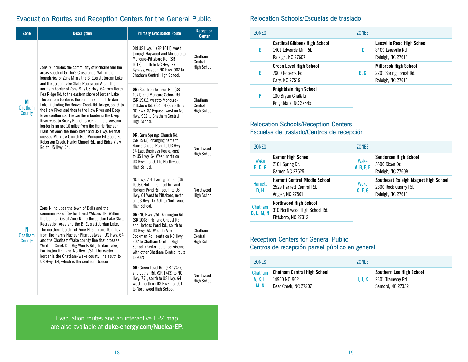## Evacuation Routes and Reception Centers for the General Public

| Zone                   | <b>Description</b>                                                                                                                                                                                                                                                                                                                                                                                                                                                      | <b>Primary Evacuation Route</b>                                                                                                                                                                                                                                                    | <b>Reception</b><br><b>Center</b>        |
|------------------------|-------------------------------------------------------------------------------------------------------------------------------------------------------------------------------------------------------------------------------------------------------------------------------------------------------------------------------------------------------------------------------------------------------------------------------------------------------------------------|------------------------------------------------------------------------------------------------------------------------------------------------------------------------------------------------------------------------------------------------------------------------------------|------------------------------------------|
|                        | Zone M includes the community of Moncure and the<br>areas south of Griffin's Crossroads. Within the<br>boundaries of Zone M are the B. Everett Jordan Lake<br>and the Jordan Lake State Recreation Area. The                                                                                                                                                                                                                                                            | Old US Hwy. 1 (SR 1011), west<br>through Haywood and Moncure to<br>Moncure-Pittsboro Rd. (SR<br>1012), north to NC Hwy. 87<br>Bypass, west on NC Hwy. 902 to<br>Chatham Central High School.                                                                                       | Chatham<br>Central<br><b>High School</b> |
| М<br>Chatham<br>County | northern border of Zone M is US Hwy. 64 from North<br>Pea Ridge Rd, to the eastern shore of Jordan Lake.<br>The eastern border is the eastern shore of Jordan<br>Lake, including the Beaver Creek Rd. bridge, south to<br>the Haw River and then to the Haw River and Deep<br>River confluence. The southern border is the Deep<br>River west to Rocky Branch Creek, and the western<br>border is an arc 10 miles from the Harris Nuclear                               | OR: South on Johnson Rd. (SR<br>1971) and Moncure School Rd.<br>(SR 1931), west to Moncure-<br>Pittsboro Rd. (SR 1012), north to<br>NC Hwy. 87 Bypass, west on NC<br>Hwy. 902 to Chatham Central<br>High School.                                                                   | Chatham<br>Central<br><b>High School</b> |
|                        | Plant between the Deep River and US Hwy. 64 that<br>crosses Mt. View Church Rd., Moncure Pittsboro Rd.,<br>Roberson Creek, Hanks Chapel Rd., and Ridge View<br>Rd. to US Hwy. 64.                                                                                                                                                                                                                                                                                       | <b>OR:</b> Gum Springs Church Rd.<br>(SR 1943), changing name to<br>Hanks Chapel Road to US Hwy.<br>64 East Business Route, east<br>to US Hwy. 64 West, north on<br>US Hwy. 15-501 to Northwood<br>High School.                                                                    | Northwood<br><b>High School</b>          |
|                        | Zone N includes the town of Bells and the                                                                                                                                                                                                                                                                                                                                                                                                                               | NC Hwy. 751, Farrington Rd. (SR<br>1008), Holland Chapel Rd. and<br>Hortons Pond Rd., south to US<br>Hwy. 64 West to Pittsboro, north<br>on US Hwy. 15-501 to Northwood<br>High School.                                                                                            | Northwood<br><b>High School</b>          |
| N<br>Chatham<br>County | communities of Seaforth and Wilsonville, Within<br>the boundaries of Zone N are the Jordan Lake State<br>Recreation Area and the B. Everett Jordan Lake.<br>The northern border of Zone N is an arc 10 miles<br>from the Harris Nuclear Plant between US Hwy. 64<br>and the Chatham/Wake county line that crosses<br>Windfall Creek Dr., Big Woods Rd., Jordan Lake,<br>Farrington Rd., and NC Hwy. 751. The eastern<br>border is the Chatham/Wake county line south to | OR: NC Hwy. 751, Farrington Rd.<br>(SR 1008), Holland Chapel Rd.<br>and Hortons Pond Rd., south to<br>US Hwy. 64, West to Alex<br>Cockman Rd., south on NC Hwy.<br>902 to Chatham Central High<br>School. (Faster route; consistent<br>with other Chatham Central route<br>to 902) | Chatham<br>Central<br><b>High School</b> |
|                        | US Hwy. 64, which is the southern border.                                                                                                                                                                                                                                                                                                                                                                                                                               | <b>OR:</b> Green Level Rd. (SR 1742),<br>and Luther Rd. (SR 1743) to NC<br>Hwy. 751, south to US Hwy. 64<br>West, north on US Hwy. 15-501<br>to Northwood High School.                                                                                                             | Northwood<br><b>High School</b>          |

## Relocation Schools/Escuelas de traslado

| 70NFS |                                                                                   | <b>ZONES</b> |                                                                              |
|-------|-----------------------------------------------------------------------------------|--------------|------------------------------------------------------------------------------|
|       | <b>Cardinal Gibbons High School</b><br>1401 Fdwards Mill Rd.<br>Raleigh, NC 27607 | F.           | <b>Leesville Road High School</b><br>8409 Leesville Rd.<br>Raleigh, NC 27613 |
|       | <b>Green Level High School</b><br>7600 Roberts Rd.<br>Cary, NC 27519              | E.G          | <b>Millbrook High School</b><br>2201 Spring Forest Rd.<br>Raleigh, NC 27615  |
|       | Knightdale High School<br>100 Bryan Chalk Ln.<br>Knightdale, NC 27545             |              |                                                                              |

### Relocation Schools/Reception Centers Escuelas de traslado/Centros de recepción

| <b>ZONES</b>                 |                                                                                      | <b>ZONES</b>       |                                                                                   |
|------------------------------|--------------------------------------------------------------------------------------|--------------------|-----------------------------------------------------------------------------------|
| Wake<br><b>B, D, G</b>       | <b>Garner High School</b><br>2101 Spring Dr.<br>Garner, NC 27529                     | Wake<br>A, B, E, F | <b>Sanderson High School</b><br>5500 Dixon Dr.<br>Raleigh, NC 27609               |
| <b>Harnett</b><br>D, H       | <b>Harnett Central Middle School</b><br>2529 Harnett Central Rd.<br>Angier, NC 27501 | Wake<br>C, F, G    | Southeast Raleigh Magnet High School<br>2600 Rock Quarry Rd.<br>Raleigh, NC 27610 |
| Chatham<br><b>B, L, M, N</b> | <b>Northwood High School</b><br>310 Northwood High School Rd.<br>Pittsboro, NC 27312 |                    |                                                                                   |

## Reception Centers for General Public

Centros de recepción parael público en general

| 70NFS    |                                    | 70NFS   |                          |
|----------|------------------------------------|---------|--------------------------|
| Chatham  | <b>Chatham Central High School</b> | 1. J. K | Southern Lee High School |
| A. K. L. | 14950 NC-902                       |         | 2301 Tramwav Rd.         |
| M. N     | Bear Creek, NC 27207               |         | Sanford, NC 27332        |

Evacuation routes and an interactive EPZ map are also available at **[duke-energy.com/NuclearEP](http://duke-energy.com/NuclearEP)**.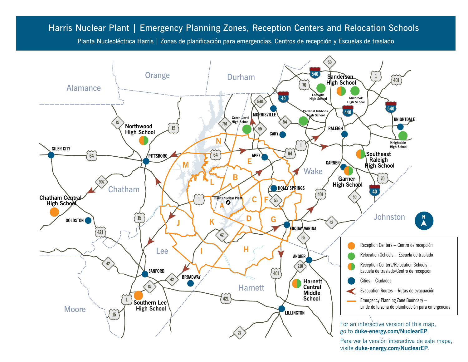## Harris Nuclear Plant | Emergency Planning Zones, Reception Centers and Relocation Schools Harris Nuclear Plant | Emergency Planning Zones, Reception Centers and Relocation Schools

Planta Nucleoléctrica Harris | Zonas de planificación para emergencias, Centros de recepción y Escuelas de traslado



Para ver la versión interactiva de este mapa, visite **[duke-energy.com/NuclearEP](http://duke-energy.com/NuclearEP)**.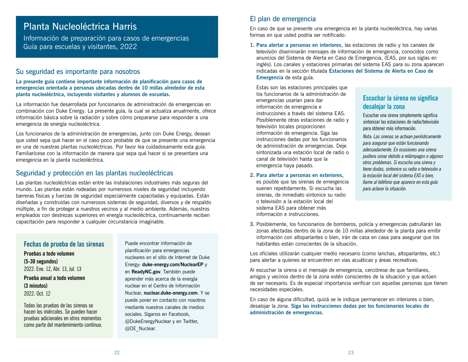## Planta Nucleoléctrica Harris

Información de preparación para casos de emergencias Guía para escuelas y visitantes, 2022

### Su seguridad es importante para nosotros

**La presente guía contiene importante información de planificación para casos de emergencias orientada a personas ubicadas dentro de 10 millas alrededor de esta planta nucleoléctrica, incluyendo visitantes y alumnos de escuelas.**

La información fue desarrollada por funcionarios de administración de emergencias en combinación con Duke Energy. La presente guía, la cual se actualiza anualmente, ofrece información básica sobre la radiación y sobre cómo prepararse para responder a una emergencia de energía nucleoléctrica.

Los funcionarios de la administración de emergencias, junto con Duke Energy, desean que usted sepa qué hacer en el caso poco probable de que se presente una emergencia en una de nuestras plantas nucleoléctricas. Por favor lea cuidadosamente esta guía. Familiarícese con la información de manera que sepa qué hacer si se presentara una emergencia en la planta nucleoléctrica.

## Seguridad y protección en las plantas nucleoléctricas

Las plantas nucleoléctricas están entre las instalaciones industriales más seguras del mundo. Las plantas están rodeadas por numerosos niveles de seguridad incluyendo barreras físicas y fuerzas de seguridad especialmente capacitadas y equipadas. Están diseñadas y construidas con numerosos sistemas de seguridad, diversos y de respaldo múltiple, a fin de proteger a nuestros vecinos y al medio ambiente. Además, nuestros empleados con destrezas superiores en energía nucleoléctrica, continuamente reciben capacitación para responder a cualquier circunstancia imaginable.

## **Fechas de prueba de las sirenas Pruebas a todo volumen (5-30 segundos)** 2022: Ene. 12, Abr. 13, Jul. 13 **Prueba anual a todo volumen (3 minutos)** 2022: Oct. 12

Todas las pruebas de las sirenas se hacen los miércoles. Se pueden hacer pruebas adicionales en otros momentos como parte del mantenimiento continuo. Puede encontrar información de planificación para emergencias nucleares en el sitio de Internet de Duke Energy: **[duke-energy.com/NuclearEP](http://duke-energy.com/NuclearEP)** y en **[ReadyNC.gov](http://ReadyNC.org)**. También puede aprender más acerca de la energía nuclear en el Centro de Información Nuclear, **[nuclear.duke-energy.com](http://nuclear.duke-energy.com)**. Y se puede poner en contacto con nosotros mediante nuestros canales de medios sociales. Síganos en Facebook, @DukeEnergyNuclear y en Twitter, @DE\_Nuclear.

### El plan de emergencia

En caso de que se presente una emergencia en la planta nucleoléctrica, hay varias formas en que usted podría ser notificado:

**1. Para alertar a personas en interiores,** las estaciones de radio y los canales de televisión diseminarán mensajes de información de emergencia, conocidos como anuncios del Sistema de Alerta en Caso de Emergencia, (EAS, por sus siglas en inglés). Los canales y estaciones primarias del sistema EAS para su zona aparecen indicadas en la sección titulada **Estaciones del Sistema de Alerta en Caso de Emergencia** de esta guía.

Estas son las estaciones principales que los funcionarios de la administración de emergencias usarían para dar información de emergencia e instrucciones a través del sistema EAS. Posiblemente otras estaciones de radio y televisión locales proporcionen información de emergencia. Siga las instrucciones dadas por los funcionarios de administración de emergencias. Deje sintonizada una estación local de radio o canal de televisión hasta que la emergencia haya pasado.

#### **2. Para alertar a personas en exteriores,**

es posible que las sirenas de emergencia suenen repetidamente. Si escucha las sirenas, de inmediato sintonice su radio o televisión a la estación local del sistema EAS para obtener más información e instrucciones.

## **Escuchar la sirena no significa desalojar la zona**

Escuchar una sirena simplemente significa sintonizar las estaciones de radio/televisión para obtener más información.

*Nota: Las sirenas se activan periódicamente para asegurar que están funcionando adecuadamente. En ocasiones una sirena pudiera sonar debido a relámpagos o algunos otros problemas. Si escucha una sirena y tiene dudas, sintonice su radio o televisión a la estación local del sistema EAS o bien, llame al teléfono que aparece en esta guía para aclarar la situación.*

**3.** Posiblemente, los funcionarios de bomberos, policía y emergencias patrullarán las zonas afectadas dentro de la zona de 10 millas alrededor de la planta para emitir información con altoparlantes o bien, irán de casa en casa para asegurar que los habitantes están conscientes de la situación.

Los oficiales utilizarán cualquier medio necesario (como lanchas, altoparlantes, etc.) para alertar a quienes se encuentren en vías acuáticas y áreas recreativas.

Al escuchar la sirena o el mensaje de emergencia, cerciórese de que familiares, amigos y vecinos dentro de la zona estén conscientes de la situación y que actúen de ser necesario. Es de especial importancia verificar con aquellas personas que tienen necesidades especiales.

En caso de alguna dificultad, quizá se le indique permanecer en interiores o bien, desalojar la zona. **Siga las instrucciones dadas por los funcionarios locales de administración de emergencias.**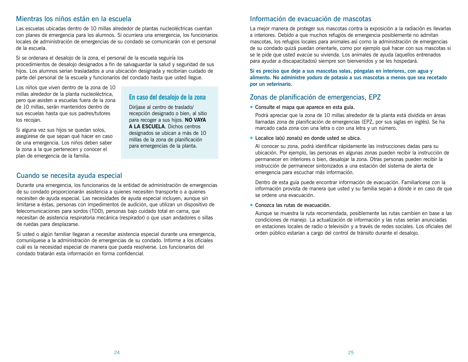## Mientras los niños están en la escuela

Las escuelas ubicadas dentro de 10 millas alrededor de plantas nucleoléctricas cuentan con planes de emergencia para los alumnos. Si ocurriera una emergencia, los funcionarios locales de administración de emergencias de su condado se comunicarán con el personal de la escuela.

Si se ordenara el desalojo de la zona, el personal de la escuela seguiría los procedimientos de desalojo designados a fin de salvaguardar la salud y seguridad de sus hijos. Los alumnos serían trasladados a una ubicación designada y recibirían cuidado de parte del personal de la escuela y funcionarios del condado hasta que usted llegue.

Los niños que viven dentro de la zona de 10 millas alrededor de la planta nucleoléctrica, pero que asisten a escuelas fuera de la zona de 10 millas, serán mantenidos dentro de sus escuelas hasta que sus padres/tutores los recojan.

### **En caso del desalojo de la zona**

Diríjase al centro de traslado/ recepción designado o bien, al sitio para recoger a sus hijos. **NO VAYA A LA ESCUELA**. Dichos centros designados se ubican a más de 10 millas de la zona de planificación para emergencias de la planta.

Si alguna vez sus hijos se quedan solos, asegúrese de que sepan qué hacer en caso de una emergencia. Los niños deben saber la zona a la que pertenecen y conocer el plan de emergencia de la familia.

## Cuando se necesita ayuda especial Durante una emergencia, los funcionarios de la entidad de administración de emergencias

de su condado proporcionarán asistencia a quienes necesiten transporte o a quienes necesiten de ayuda especial. Las necesidades de ayuda especial incluyen, aunque sin limitarse a éstas, personas con impedimentos de audición, que utilizan un dispositivo de telecomunicaciones para sordos (TDD), personas bajo cuidado total en cama, que necesitan de asistencia respiratoria mecánica (respirador) o que usan andadores o sillas de ruedas para desplazarse.

Si usted o algún familiar llegaran a necesitar asistencia especial durante una emergencia, comuníquese a la administración de emergencias de su condado. Informe a los oficiales cuál es la necesidad especial de manera que pueda resolverse. Los funcionarios del condado tratarán esta información en forma confidencial.

## Información de evacuación de mascotas

La mejor manera de proteger sus mascotas contra la exposición a la radiación es llevarlas a interiores. Debido a que muchos refugios de emergencia posiblemente no admitan mascotas, los refugios locales para animales así como la administración de emergencias de su condado quizá puedan orientarle, como por ejemplo qué hacer con sus mascotas si se le pide que usted evacúe su vivienda. Los animales de ayuda (aquellos entrenados para ayudar a discapacitados) siempre son bienvenidos y se les hospedará.

**Si es preciso que deje a sus mascotas solas, póngalas en interiores, con agua y alimento. No administre yoduro de potasio a sus mascotas a menos que sea recetado por un veterinario.**

### Zonas de planificación de emergencias, EPZ

### ¡ Consulte el mapa que aparece en esta guía.

Podrá apreciar que la zona de 10 millas alrededor de la planta está dividida en áreas llamadas zona de planificación de emergencias (EPZ, por sus siglas en inglés). Se ha marcado cada zona con una letra o con una letra y un número.

### ■ Localice la(s) zona(s) en donde usted se ubica.

Al conocer su zona, podrá identificar rápidamente las instrucciones dadas para su ubicación. Por ejemplo, las personas en algunas zonas pueden recibir la instrucción de permanecer en interiores o bien, desalojar la zona. Otras personas pueden recibir la instrucción de permanecer sintonizados a una estación del sistema de alerta de emergencia para escuchar más información.

Dentro de esta guía puede encontrar información de evacuación. Familiarícese con la información provista de manera que usted y su familia sepan a dónde ir en caso de que se ordene una evacuación.

### ¡ Conozca las rutas de evacuación.

Aunque se muestra la ruta recomendada, posiblemente las rutas cambien en base a las condiciones de manejo. La actualización de información y las rutas serían anunciadas en estaciones locales de radio o televisión y a través de redes sociales. Los oficiales del orden público estarían a cargo del control de tránsito durante el desalojo.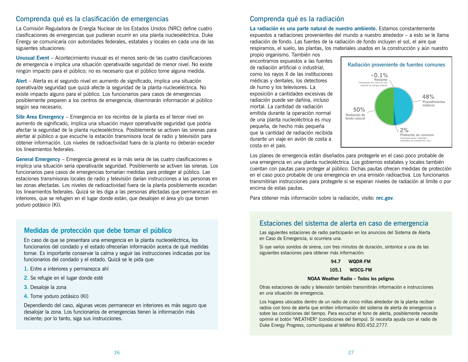### Comprenda qué es la clasificación de emergencias

La Comisión Reguladora de Energía Nuclear de los Estados Unidos (NRC) define cuatro clasificaciones de emergencias que pudieran ocurrir en una planta nucleoeléctrica. Duke Energy se comunicaría con autoridades federales, estatales y locales en cada una de las siguientes situaciones:

**Unusual Event** – Acontecimiento inusual es el menos serio de las cuatro clasificaciones de emergencia e implica una situación operativa/de seguridad de menor nivel. No existe ningún impacto para el público; no es necesario que el público tome alguna medida.

**Alert** – Alerta es el segundo nivel en aumento de significado, implica una situación operativa/de seguridad que quizá afecte la seguridad de la planta nucleoeléctrica. No existe impacto alguno para el público. Los funcionarios para casos de emergencias posiblemente preparen a los centros de emergencia; diseminarán información al público según sea necesario.

**Site Area Emergency** – Emergencia en los recintos de la planta es el tercer nivel en aumento de significado, implica una situación mayor operativa/de seguridad que podría afectar la seguridad de la planta nucleoeléctrica. Posiblemente se activen las sirenas para alertar al público a que escuche la estación transmisora local de radio y televisión para obtener información. Los niveles de radioactividad fuera de la planta no deberán exceder los lineamientos federales.

**General Emergency** – Emergencia general es la más seria de las cuatro clasificaciones e implica una situación seria operativa/de seguridad. Posiblemente se activen las sirenas. Los funcionarios para casos de emergencias tomarían medidas para proteger al público. Las estaciones transmisoras locales de radio y televisión darían instrucciones a las personas en las zonas afectadas. Los niveles de radioactividad fuera de la planta posiblemente excedan los lineamientos federales. Quizá se les diga a las personas afectadas que permanezcan en interiores, que se refugien en el lugar donde están, que desalojen el área y/o que tomen yoduro potásico (KI).

### **Medidas de protección que debe tomar el público**

En caso de que se presentara una emergencia en la planta nucleoeléctrica, los funcionarios del condado y el estado ofrecerían información acerca de qué medidas tomar. Es importante conservar la calma y seguir las instrucciones indicadas por los funcionarios del condado y el estado. Quizá se le pida que:

- **1.** Entre a interiores y permanezca ahí
- **2.** Se refugie en el lugar donde esté
- **3.** Desaloje la zona
- **4.** Tome yoduro potásico (KI)

Dependiendo del caso, algunas veces permanecer en interiores es más seguro que desalojar la zona. Los funcionarios de emergencias tienen la información más reciente; por lo tanto, siga sus instrucciones.

### Comprenda qué es la radiación

**La radiación es una parte natural de nuestro ambiente.** Estamos constantemente expuestos a radiaciones provenientes del mundo a nuestro alrededor – a esto se le llama radiación de fondo. Las fuentes de la radiación de fondo incluyen el sol, el aire que respiramos, el suelo, las plantas, los materiales usados en la construcción y aún nuestro

propio organismo. También nos encontramos expuestos a las fuentes de radiación artificial o industrial, como los rayos X de las instituciones médicas y dentales, los detectores de humo y los televisores. La exposición a cantidades excesivas de radiación puede ser dañina, incluso mortal. La cantidad de radiación emitida durante la operación normal de una planta nucleoléctrica es muy pequeña, de hecho más pequeña que la cantidad de radiación recibida durante un viaje en avión de costa a costa en el país.



Los planes de emergencia están diseñados para protegerle en el caso poco probable de una emergencia en una planta nucleoléctrica. Los gobiernos estatales y locales también cuentan con pautas para proteger al público. Dichas pautas ofrecen medidas de protección en el caso poco probable de una emergencia en una emisión radioactiva. Los funcionarios transmitirían instrucciones para protegerle si se esperan niveles de radiación al límite o por encima de estas pautas.

Para obtener más información sobre la radiación, visite: **[nrc.gov](http://nrc.gov)**.

### Estaciones del sistema de alerta en caso de emergencia

Las siguientes estaciones de radio participarán en los anuncios del Sistema de Alerta en Caso de Emergencia, si ocurriera una.

Si oye varios sonidos de sirena, con tres minutos de duración, sintonice a una de las siguientes estaciones para obtener más información:

#### **94.7 WQDR-FM**

**105.1 WDCG-FM**

#### **NOAA Weather Radio – Todos los peligros**

Otras estaciones de radio y televisión también transmitirán información e instrucciones en una situación de emergencia.

Los hogares ubicados dentro de un radio de cinco millas alrededor de la planta reciben radios con tono de alerta que emiten información del sistema de alerta de emergencia o sobre las condiciones del tiempo. Para escuchar el tono de alerta, posiblemente necesite oprimir el botón "WEATHER" (condiciones del tiempo). Si necesita ayuda con el radio de Duke Energy Progress, comuníquese al teléfono 800.452.2777.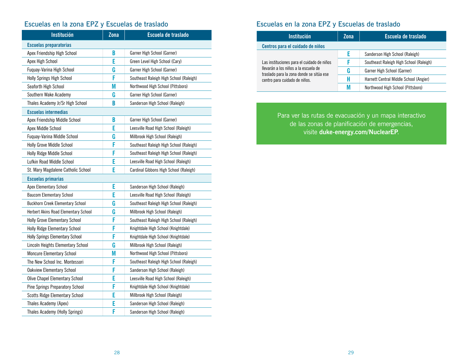## Escuelas en la zona EPZ y Escuelas de traslado

| <b>Institución</b>                      | $Z$ ona | Escuela de traslado                     |  |
|-----------------------------------------|---------|-----------------------------------------|--|
| <b>Escuelas preparatorias</b>           |         |                                         |  |
| Apex Friendship High School             | B       | Garner High School (Garner)             |  |
| Apex High School                        | E       | Green Level High School (Cary)          |  |
| Fuquay-Varina High School               | G       | Garner High School (Garner)             |  |
| Holly Springs High School               | F       | Southeast Raleigh High School (Raleigh) |  |
| Seaforth High School                    | M       | Northwood High School (Pittsboro)       |  |
| Southern Wake Academy                   | G       | Garner High School (Garner)             |  |
| Thales Academy Jr/Sr High School        | B       | Sanderson High School (Raleigh)         |  |
| <b>Escuelas intermedias</b>             |         |                                         |  |
| Apex Friendship Middle School           | B       | Garner High School (Garner)             |  |
| Apex Middle School                      | E       | Leesville Road High School (Raleigh)    |  |
| Fuquay-Varina Middle School             | G       | Millbrook High School (Raleigh)         |  |
| Holly Grove Middle School               | F       | Southeast Raleigh High School (Raleigh) |  |
| Holly Ridge Middle School               | F       | Southeast Raleigh High School (Raleigh) |  |
| Lufkin Road Middle School               | E       | Leesville Road High School (Raleigh)    |  |
| St. Mary Magdalene Catholic School      | E       | Cardinal Gibbons High School (Raleigh)  |  |
| <b>Escuelas primarias</b>               |         |                                         |  |
| Apex Elementary School                  | E       | Sanderson High School (Raleigh)         |  |
| <b>Baucom Elementary School</b>         | E       | Leesville Road High School (Raleigh)    |  |
| <b>Buckhorn Creek Elementary School</b> | G       | Southeast Raleigh High School (Raleigh) |  |
| Herbert Akins Road Elementary School    | G       | Millbrook High School (Raleigh)         |  |
| <b>Holly Grove Elementary School</b>    | F       | Southeast Raleigh High School (Raleigh) |  |
| <b>Holly Ridge Elementary School</b>    | F       | Knightdale High School (Knightdale)     |  |
| <b>Holly Springs Elementary School</b>  | F       | Knightdale High School (Knightdale)     |  |
| Lincoln Heights Elementary School       | G       | Millbrook High School (Raleigh)         |  |
| <b>Moncure Elementary School</b>        | M       | Northwood High School (Pittsboro)       |  |
| The New School Inc. Montessori          | F       | Southeast Raleigh High School (Raleigh) |  |
| <b>Oakview Elementary School</b>        | F       | Sanderson High School (Raleigh)         |  |
| <b>Olive Chapel Elementary School</b>   | E       | Leesville Road High School (Raleigh)    |  |
| Pine Springs Preparatory School         | F       | Knightdale High School (Knightdale)     |  |
| <b>Scotts Ridge Elementary School</b>   | E       | Millbrook High School (Raleigh)         |  |
| Thales Academy (Apex)                   | E       | Sanderson High School (Raleigh)         |  |
| Thales Academy (Holly Springs)          | F       | Sanderson High School (Raleigh)         |  |

## Escuelas en la zona EPZ y Escuelas de traslado

| <b>Institución</b>                                                                                                             | <b>Zona</b> | Escuela de traslado                     |  |
|--------------------------------------------------------------------------------------------------------------------------------|-------------|-----------------------------------------|--|
| Centros para el cuidado de niños                                                                                               |             |                                         |  |
| Las instituciones para el cuidado de niños<br>llevarán a los niños a la escuela de<br>traslado para la zona donde se sitúa ese |             | Sanderson High School (Raleigh)         |  |
|                                                                                                                                |             | Southeast Raleigh High School (Raleigh) |  |
|                                                                                                                                | G           | Garner High School (Garner)             |  |
| centro para cuidado de niños.                                                                                                  | н           | Harnett Central Middle School (Angier)  |  |
|                                                                                                                                | M           | Northwood High School (Pittsboro)       |  |

Para ver las rutas de evacuación y un mapa interactivo de las zonas de planificación de emergencias, visite **[duke-energy.com/NuclearEP](http://duke-energy.com/NuclearEP)**.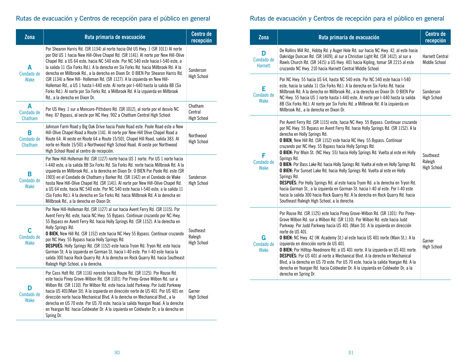## Rutas de evacuación y Centros de recepción para el público en general

| Zona                       | Ruta primaria de evacuación                                                                                                                                                                                                                                                                                                                                                                                                                                                                                                                                                                                                                                                                                                       | <b>Centro de</b><br>recepción              |
|----------------------------|-----------------------------------------------------------------------------------------------------------------------------------------------------------------------------------------------------------------------------------------------------------------------------------------------------------------------------------------------------------------------------------------------------------------------------------------------------------------------------------------------------------------------------------------------------------------------------------------------------------------------------------------------------------------------------------------------------------------------------------|--------------------------------------------|
| A<br>Condado de<br>Wake    | Por Shearon Harris Rd. (SR 1134) al norte hacia Old US Hwy. 1 (SR 1011) Al norte<br>por Old US 1 hacia New Hill-Olive Chapel Rd. (SR 1141). Al norte por New Hill-Olive<br>Chapel Rd. a US 64 este, hacia NC 540 este. Por NC 540 este hacia I-540 este, a<br>la salida 11 (Six Forks Rd.). A la derecha en Six Forks Rd. hacia Millbrook Rd. A la<br>derecha en Millbrook Rd., a la derecha en Dixon Dr. O BIEN Por Shearon Harris Rd.<br>(SR 1134) a New Hill- Holleman Rd. (SR 1127). A la izquierda en New Hill-<br>Holleman Rd., a US 1 hasta I-440 este. Al norte por I-440 hasta la salida 8B (Six<br>Forks Rd.). Al norte por Six Forks Rd. a Millbrook Rd. A la izquierda en Millbrook<br>Rd., a la derecha en Dixon Dr. | Sanderson<br><b>High School</b>            |
| A<br>Condado de<br>Chatham | Por US Hwy. 1 sur a Moncure-Pittsboro Rd. (SR 1012), al norte por el desvío NC<br>Hwy. 87 Bypass, al oeste por NC Hwy. 902 a Chatham Central High School.                                                                                                                                                                                                                                                                                                                                                                                                                                                                                                                                                                         | Chatham<br>Central<br><b>High School</b>   |
| В<br>Condado de<br>Chatham | Johnson Farm Road y Big Oak Drive hacia Poole Road este. Poole Road este a New<br>Hill-Olive Chapel Road a Route 1141. Al norte por New-Hill Olive Chapel Road a<br>Route 64. Al oeste en Route 64 a Route 15/501, Chapel Hill Road, salida 383. Al<br>norte en Route 15/501 a Northwood High School Road. Al oeste por Northwood<br>High School Road al centro de recepción.                                                                                                                                                                                                                                                                                                                                                     | Northwood<br><b>High School</b>            |
| В<br>Condado de<br>Wake    | Por New Hill-Holleman Rd. (SR 1127) norte hacia US 1 norte. Por US 1 norte hacia<br>I-440 este, a la salida 8B Six Forks Rd. Six Forks Rd. norte hacia Millbrook Rd. A la<br>izquierda en Millbrook Rd., a la derecha en Dixon Dr. O BIEN Por Poole Rd. este (SR<br>1903) en el Condado de Chatham y Barker Rd. (SR 1142) en el Condado de Wake<br>hasta New Hill-Olive Chapel Rd. (SR 1141). Al norte por New Hill-Olive Chapel Rd.<br>a US 64 este, hacia NC 540 este. Por NC 540 este hacia I-540 este, a la salida 11<br>(Six Forks Rd.). A la derecha en Six Forks Rd. hacia Millbrook Rd. A la derecha en<br>Millbrook Rd., a la derecha en Dixon Dr.                                                                       | Sanderson<br><b>High School</b>            |
| C<br>Condado de<br>Wake    | Por New Hill-Holleman Rd. (SR 1127) al sur hacia Avent Ferry Rd. (SR 1115). Por<br>Avent Ferry Rd. este, hacia NC Hwy. 55 Bypass. Continuar cruzando por NC Hwy.<br>55 Bypass en Avent Ferry Rd. hacia Holly Springs Rd. (SR 1152). A la derecha en<br>Holly Springs Rd.<br>O BIEN, New Hill Rd. (SR 1152) este hacia NC Hwy 55 Bypass. Continuar cruzando<br>por NC Hwy. 55 Bypass hacia Holly Springs Rd.<br><b>DESPUÉS:</b> Holly Springs Rd. (SR 1152) este hacia Tryon Rd. Tryon Rd. este hacia<br>Gorman St. A la izquierda en Gorman St. hacia I-40 este. Por I-40 este hacia la<br>salida 300 hacia Rock Quarry Rd. A la derecha en Rock Quarry Rd. hacia Southeast<br>Raleigh High School, a la derecha.                 | Southeast<br>Raleigh<br><b>High School</b> |
| D<br>Condado de<br>Wake    | Por Cass Holt Rd. (SR 1116) noreste hacia Rouse Rd. (SR 1125). Por Rouse Rd.<br>este hacia Piney Grove-Wilbon Rd. (SR 1101). Por Piney-Grove Wilbon Rd. sur a<br>Wilbon Rd. (SR 1110). Por Wilbon Rd. este hacia Judd Parkway. Por Judd Parkway<br>hacia US 401(Main St). A la izquierda en dirección norte de US 401. Por US 401 en<br>dirección norte hacia Mechanical Blvd. A la derecha en Mechanical Blvd., a la<br>derecha en US 70 este. Por US 70 este, hacia la salida Yeargan Road. A la derecha<br>en Yeargan Rd. hacia Coldwater Dr. A la izquierda en Coldwater Dr, a la derecha en<br>Spring Dr.                                                                                                                    | Garner<br><b>High School</b>               |

## Rutas de evacuación y Centros de recepción para el público en general

| Zona                       | Ruta primaria de evacuación                                                                                                                                                                                                                                                                                                                                                                                                                                                                                                                                                                                                                                                                                                                                                                                                                                                                                                                                 | Centro de<br>recepción                         |
|----------------------------|-------------------------------------------------------------------------------------------------------------------------------------------------------------------------------------------------------------------------------------------------------------------------------------------------------------------------------------------------------------------------------------------------------------------------------------------------------------------------------------------------------------------------------------------------------------------------------------------------------------------------------------------------------------------------------------------------------------------------------------------------------------------------------------------------------------------------------------------------------------------------------------------------------------------------------------------------------------|------------------------------------------------|
| D<br>Condado de<br>Harnett | De Rollins Mill Rd., Hobby Rd. y Auger Hole Rd. sur hacia NC Hwy. 42, al este hacia<br>Oakridge Duncan Rd. (SR 1409), al sur a Christian Light Rd. (SR 1412), al sur a<br>Rawls Church Rd. (SR 1415) a US Hwy. 401 hacia Kipling, tomar SR 2215 al este<br>cruzando NC Hwy. 210 hacia Harnett Central Middle School.                                                                                                                                                                                                                                                                                                                                                                                                                                                                                                                                                                                                                                        | <b>Harnett Central</b><br><b>Middle School</b> |
| E<br>Condado de<br>Wake    | Por NC Hwy. 55 hacia US 64, hasta NC 540 este. Por NC 540 este hacia I-540<br>este, hacia la salida 11 (Six Forks Rd.). A la derecha en Six Forks Rd. hacia<br>Millbrook Rd. A la derecha en Millbrook Rd., a la derecha en Dixon Dr. O BIEN Por<br>NC Hwy. 55 hacia US 1 norte hasta I-440 este. Al norte por I-440 hasta la salida<br>8B (Six Forks Rd.). Al norte por Six Forks Rd. a Millbrook Rd. A la izquierda en<br>Millbrook Rd., a la derecha en Dixon Dr.                                                                                                                                                                                                                                                                                                                                                                                                                                                                                        | Sanderson<br><b>High School</b>                |
| F<br>Condado de<br>Wake    | Por Avent Ferry Rd. (SR 1115) este, hacia NC Hwy. 55 Bypass. Continuar cruzando<br>por NC Hwy. 55 Bypass en Avent Ferry Rd. hacia Holly Springs Rd. (SR 1152). A la<br>derecha en Holly Springs Rd.<br><b>O BIEN, New Hill Rd. (SR 1152) este hacia NC Hwy. 55 Bypass. Continuar</b><br>cruzando por NC Hwy. 55 Bypass hacia Holly Springs Rd.<br>O BIEN: Por Main St. (NC Hwy. 55) hacia Holly Springs Rd. Vuelta al este en Holly<br>Springs Rd.<br>O BIEN: Por Bass Lake Rd. hacia Holly Springs Rd. Vuelta al este en Holly Springs Rd.<br>O BIEN: Por Sunset Lake Rd. hacia Holly Springs Rd. Vuelta al este en Holly<br>Springs Rd.<br><b>DESPUES:</b> Por Holly Springs Rd. al este hacia Tryon Rd. a la derecha en Tryon Rd.<br>hacia Gorman St., a la izquierda en Gorman St. hacia I-40 al este. Por I-40 este<br>hacia la salida 300 hacia Rock Quarry Rd. A la derecha en Rock Quarry Rd. hacia<br>Southeast Raleigh High School, a la derecha. | Southeast<br>Raleigh<br><b>High School</b>     |
| G<br>Condado de<br>Wake    | Por Rouse Rd. (SR 1125) este hacia Piney Grove-Wilbon Rd. (SR 1101). Por Piney-<br>Grove Wilbon Rd. sur a Wilbon Rd. (SR 1110). Por Wilbon Rd. este hacia Judd<br>Parkway. Por Judd Parkway hacia US 401 (Main St). A la izquierda en dirección<br>norte de US 401.<br>O BIEN: NC Hwy. 42 (W. Academy St.) al este hacia US 401 norte (Main St.). A la<br>izquierda en dirección norte de US 401.<br><b>O BIEN:</b> Por Hilltop-Needmore Rd. a US 401 norte. A la izquierda en US 401 norte.<br><b>DESPUÉS:</b> Por US 401 al norte a Mechanical Blvd. A la derecha en Mechanical<br>Blvd, a la derecha en US 70 este. Por US 70 este, hacia la salida Yeargan Rd. A la<br>derecha en Yeargan Rd. hacia Coldwater Dr. A la izquierda en Coldwater Dr, a la<br>derecha en Spring Dr.                                                                                                                                                                         | Garner<br><b>High School</b>                   |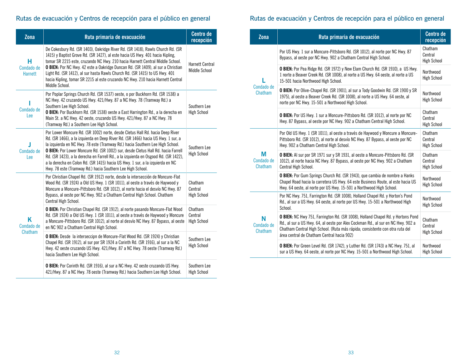## Rutas de evacuación y Centros de recepción para el público en general

| Zona                              | Ruta primaria de evacuación                                                                                                                                                                                                                                                                                                                                                                                                                                                                                                                                                  | <b>Centro de</b><br>recepción            |
|-----------------------------------|------------------------------------------------------------------------------------------------------------------------------------------------------------------------------------------------------------------------------------------------------------------------------------------------------------------------------------------------------------------------------------------------------------------------------------------------------------------------------------------------------------------------------------------------------------------------------|------------------------------------------|
| н<br>Condado de<br><b>Harnett</b> | De Cokesbury Rd. (SR 1403), Oakridge River Rd. (SR 1418), Rawls Church Rd. (SR<br>1415) y Baptist Grove Rd. (SR 1427), al este hacia US Hwy. 401 hacia Kipling,<br>tomar SR 2215 este, cruzando NC Hwy. 210 hacia Harnett Central Middle School.<br>O BIEN: Por NC Hwy. 42 este a Oakridge Duncan Rd. (SR 1409), al sur a Christian<br>Light Rd. (SR 1412), al sur hasta Rawls Church Rd. (SR 1415) to US Hwy. 401<br>hacia Kipling, tomar SR 2215 al este cruzando NC Hwy. 210 hacia Harnett Central<br>Middle School.                                                      | <b>Harnett Central</b><br>Middle School  |
| Condado de<br>Lee                 | Por Poplar Springs Church Rd. (SR 1537) oeste, o por Buckhorn Rd. (SR 1538) a<br>NC Hwy. 42 cruzando US Hwy. 421/Hwy. 87 a NC Hwy. 78 (Tramway Rd.) a<br>Southern Lee High School.<br>O BIEN: Por Buckhorn Rd. (SR 1538) oeste a East Harrington Rd., a la derecha en<br>Main St. a NC Hwy. 42 oeste, cruzando US Hwy. 421/Hwy. 87 a NC Hwy. 78<br>(Tramway Rd.) a Southern Lee High School.                                                                                                                                                                                 | Southern Lee<br><b>High School</b>       |
| п<br>Condado de<br>Lee            | Por Lower Moncure Rd. (SR 1002) norte, desde Cletus Hall Rd. hacia Deep River<br>Rd. (SR 1466), a la izquierda en Deep River Rd. (SR 1466) hacia US Hwy. 1 sur, a<br>la izquierda en NC Hwy. 78 este (Tramway Rd.) hacia Southern Lee High School.<br>O BIEN: Por Lower Moncure Rd. (SR 1002) sur, desde Cletus Hall Rd. hacia Farrell<br>Rd. (SR 1423), a la derecha en Farrell Rd., a la izquierda en Osgood Rd. (SR 1422),<br>a la derecha en Colon Rd. (SR 1415) hacia US Hwy. 1 sur, a la izquierda en NC<br>Hwy. 78 este (Tramway Rd.) hacia Southern Lee High School. | Southern Lee<br><b>High School</b>       |
| Κ<br>Condado de<br>Chatham        | Por Christian Chapel Rd. (SR 1912) norte, desde la intersección de Moncure-Flat<br>Wood Rd. (SR 1924) a Old US Hwy. 1 (SR 1011), al oeste a través de Haywood y<br>Moncure a Moncure-Pittsboro Rd. (SR 1012), al norte hacia el desvío NC Hwy. 87<br>Bypass, al oeste por NC Hwy. 902 a Chatham Central High School. Chatham<br>Central High School.                                                                                                                                                                                                                         | Chatham<br>Central<br><b>High School</b> |
|                                   | O BIEN: Por Christian Chapel Rd. (SR 1912), al norte pasando Moncure-Flat Wood<br>Rd. (SR 1924) a Old US Hwy. 1 (SR 1011), al oeste a través de Haywood y Moncure<br>a Moncure-Pittsboro Rd. (SR 1012), al norte al desvío NC Hwy. 87 Bypass, al oeste<br>en NC 902 a Chatham Central High School.                                                                                                                                                                                                                                                                           | Chatham<br>Central<br><b>High School</b> |
|                                   | O BIEN: Desde la interseccipn de Moncure-Flat Wood Rd. (SR 1924) y Christian<br>Chapel Rd. (SR 1912), al sur por SR 1924 a Corinth Rd. (SR 1916), al sur a la NC<br>Hwy. 42 oeste cruzando US Hwy. 421/Hwy. 87 a NC Hwy. 78 oeste (Tramway Rd.)<br>hacia Southern Lee High School.                                                                                                                                                                                                                                                                                           | Southern Lee<br><b>High School</b>       |
|                                   | <b>O BIEN:</b> Por Corinth Rd. (SR 1916), al sur a NC Hwy. 42 oeste cruzando US Hwy.<br>421/Hwy. 87 a NC Hwy. 78 oeste (Tramway Rd.) hacia Southern Lee High School.                                                                                                                                                                                                                                                                                                                                                                                                         | Southern Lee<br><b>High School</b>       |

## Rutas de evacuación y Centros de recepción para el público en general

| Zona                       | Ruta primaria de evacuación                                                                                                                                                                                                                                                                              | <b>Centro de</b><br>recepción            |
|----------------------------|----------------------------------------------------------------------------------------------------------------------------------------------------------------------------------------------------------------------------------------------------------------------------------------------------------|------------------------------------------|
| Condado de<br>Chatham      | Por US Hwy. 1 sur a Moncure-Pittsboro Rd. (SR 1012), al norte por NC Hwy. 87<br>Bypass, al oeste por NC Hwy. 902 a Chatham Central High School.                                                                                                                                                          | Chatham<br>Central<br><b>High School</b> |
|                            | O BIEN: Por Pea Ridge Rd. (SR 1972) y New Elam Church Rd. (SR 1910), a US Hwy.<br>1 norte a Beaver Creek Rd. (SR 1008), al norte a US Hwy. 64 oeste, al norte a US<br>15-501 hacia Northwood High School.                                                                                                | Northwood<br><b>High School</b>          |
|                            | <b>O BIEN:</b> Por Olive-Chapel Rd. (SR 1901), al sur a Tody Goodwin Rd. (SR 1900 y SR<br>1975), al oeste a Beaver Creek Rd. (SR 1008), al norte a US Hwy. 64 oeste, al<br>norte por NC Hwy. 15-501 a Northwood High School.                                                                             | Northwood<br><b>High School</b>          |
|                            | O BIEN: Por US Hwy. 1 sur a Moncure-Pittsboro Rd. (SR 1012), al norte por NC<br>Hwy. 87 Bypass, al oeste por NC Hwy. 902 a Chatham Central High School.                                                                                                                                                  | Chatham<br>Central<br><b>High School</b> |
| М<br>Condado de<br>Chatham | Por Old US Hwy. 1 (SR 1011), al oeste a través de Haywood y Moncure a Moncure-<br>Pittsboro Rd. (SR 1012), al norte al desvío NC Hwy. 87 Bypass, al oeste por NC<br>Hwy. 902 a Chatham Central High School.                                                                                              | Chatham<br>Central<br><b>High School</b> |
|                            | <b>O BIEN:</b> Al sur por SR 1971 sur y SR 1931, al oeste a Moncure-Pittsboro Rd. (SR<br>1012), al norte hacia NC Hwy. 87 Bypass, al oeste por NC Hwy. 902 a Chatham<br>Central High School.                                                                                                             | Chatham<br>Central<br><b>High School</b> |
|                            | O BIEN: Por Gum Springs Church Rd. (SR 1943), que cambia de nombre a Hanks<br>Chapel Road hacia la carretera US Hwy. 64 este Business Route, al este hacia US<br>Hwy. 64 oeste, al norte por US Hwy. 15-501 a Northwood High School.                                                                     | Northwood<br><b>High School</b>          |
| N<br>Condado de<br>Chatham | Por NC Hwy. 751, Farrington Rd. (SR 1008), Holland Chapel Rd. y Horton's Pond<br>Rd., al sur a US Hwy. 64 oeste, al norte por US Hwy. 15-501 a Northwood High<br>School.                                                                                                                                 | Northwood<br><b>High School</b>          |
|                            | <b>O BIEN:</b> NC Hwy 751, Farrington Rd. (SR 1008), Holland Chapel Rd. y Hortons Pond<br>Rd., al sur a US Hwy. 64, al oeste por Alex Cockman Rd., al sur en NC Hwy. 902 a<br>Chatham Central High School. (Ruta más rápida; consistente con otra ruta del<br>área central de Chatham Central hacia 902) | Chatham<br>Central<br><b>High School</b> |
|                            | O BIEN: Por Green Level Rd. (SR 1742), y Luther Rd. (SR 1743) a NC Hwy. 751, al<br>sur a US Hwy. 64 oeste, al norte por NC Hwy. 15-501 a Northwood High School.                                                                                                                                          | Northwood<br><b>High School</b>          |